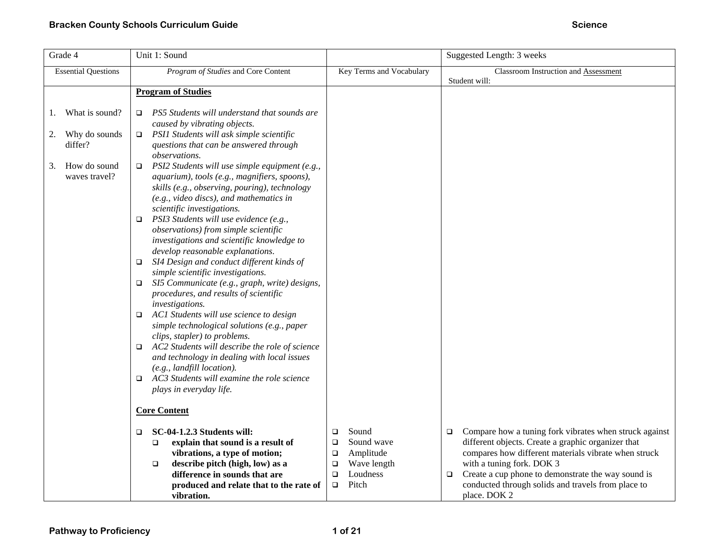| Grade 4                                                                                       | Unit 1: Sound                                                                                                                                                                                                                                                                                                                                                                                                                                                                                                                                                                                                                                                                                                                                                                                                                                                                                                                                                                                                                                                                              | Suggested Length: 3 weeks                                      |                                                                                                                                                                                |
|-----------------------------------------------------------------------------------------------|--------------------------------------------------------------------------------------------------------------------------------------------------------------------------------------------------------------------------------------------------------------------------------------------------------------------------------------------------------------------------------------------------------------------------------------------------------------------------------------------------------------------------------------------------------------------------------------------------------------------------------------------------------------------------------------------------------------------------------------------------------------------------------------------------------------------------------------------------------------------------------------------------------------------------------------------------------------------------------------------------------------------------------------------------------------------------------------------|----------------------------------------------------------------|--------------------------------------------------------------------------------------------------------------------------------------------------------------------------------|
| <b>Essential Questions</b>                                                                    | Program of Studies and Core Content                                                                                                                                                                                                                                                                                                                                                                                                                                                                                                                                                                                                                                                                                                                                                                                                                                                                                                                                                                                                                                                        | Key Terms and Vocabulary                                       | Classroom Instruction and Assessment<br>Student will:                                                                                                                          |
|                                                                                               | <b>Program of Studies</b>                                                                                                                                                                                                                                                                                                                                                                                                                                                                                                                                                                                                                                                                                                                                                                                                                                                                                                                                                                                                                                                                  |                                                                |                                                                                                                                                                                |
| What is sound?<br>1.<br>Why do sounds<br>2.<br>differ?<br>How do sound<br>3.<br>waves travel? | PS5 Students will understand that sounds are<br>$\Box$<br>caused by vibrating objects.<br>$\Box$ PSI1 Students will ask simple scientific<br>questions that can be answered through<br><i>observations.</i><br>PSI2 Students will use simple equipment (e.g.,<br>$\Box$<br>aquarium), tools (e.g., magnifiers, spoons),<br>skills (e.g., observing, pouring), technology<br>(e.g., video discs), and mathematics in<br>scientific investigations.<br>$\Box$ PSI3 Students will use evidence (e.g.,<br>observations) from simple scientific<br>investigations and scientific knowledge to<br>develop reasonable explanations.<br>SI4 Design and conduct different kinds of<br>$\Box$<br>simple scientific investigations.<br>SI5 Communicate (e.g., graph, write) designs,<br>O.<br>procedures, and results of scientific<br>investigations.<br>AC1 Students will use science to design<br>$\Box$<br>simple technological solutions (e.g., paper<br>clips, stapler) to problems.<br>AC2 Students will describe the role of science<br>$\Box$<br>and technology in dealing with local issues |                                                                |                                                                                                                                                                                |
|                                                                                               | (e.g., landfill location).<br>AC3 Students will examine the role science<br>□<br>plays in everyday life.<br><b>Core Content</b><br>SC-04-1.2.3 Students will:<br>$\Box$<br>explain that sound is a result of<br>□<br>vibrations, a type of motion;                                                                                                                                                                                                                                                                                                                                                                                                                                                                                                                                                                                                                                                                                                                                                                                                                                         | Sound<br>□<br>Sound wave<br>□<br>Amplitude<br>$\Box$           | Compare how a tuning fork vibrates when struck against<br>$\Box$<br>different objects. Create a graphic organizer that<br>compares how different materials vibrate when struck |
|                                                                                               | describe pitch (high, low) as a<br>$\Box$<br>difference in sounds that are<br>produced and relate that to the rate of<br>vibration.                                                                                                                                                                                                                                                                                                                                                                                                                                                                                                                                                                                                                                                                                                                                                                                                                                                                                                                                                        | Wave length<br>$\Box$<br>Loudness<br>$\Box$<br>Pitch<br>$\Box$ | with a tuning fork. DOK 3<br>Create a cup phone to demonstrate the way sound is<br>$\Box$<br>conducted through solids and travels from place to<br>place. DOK 2                |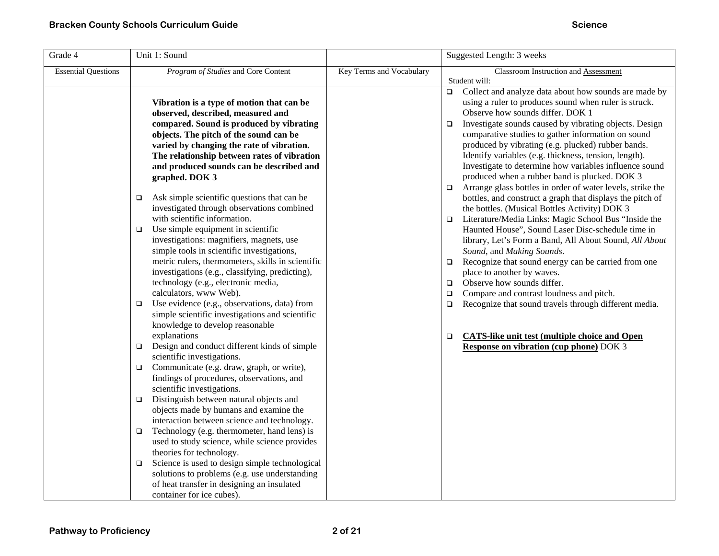| Grade 4                    | Unit 1: Sound                                                                                                                                                                                                                                                                                                                                                                                                                                                                                                         |                          | Suggested Length: 3 weeks                                                                                                                                                                                                                                                                                                                                                                                                                                                                                                                                                                                                                                                                         |
|----------------------------|-----------------------------------------------------------------------------------------------------------------------------------------------------------------------------------------------------------------------------------------------------------------------------------------------------------------------------------------------------------------------------------------------------------------------------------------------------------------------------------------------------------------------|--------------------------|---------------------------------------------------------------------------------------------------------------------------------------------------------------------------------------------------------------------------------------------------------------------------------------------------------------------------------------------------------------------------------------------------------------------------------------------------------------------------------------------------------------------------------------------------------------------------------------------------------------------------------------------------------------------------------------------------|
| <b>Essential Questions</b> | Program of Studies and Core Content                                                                                                                                                                                                                                                                                                                                                                                                                                                                                   | Key Terms and Vocabulary | Classroom Instruction and Assessment<br>Student will:<br>Collect and analyze data about how sounds are made by<br>$\Box$<br>using a ruler to produces sound when ruler is struck.                                                                                                                                                                                                                                                                                                                                                                                                                                                                                                                 |
|                            | Vibration is a type of motion that can be<br>observed, described, measured and<br>compared. Sound is produced by vibrating<br>objects. The pitch of the sound can be<br>varied by changing the rate of vibration.<br>The relationship between rates of vibration<br>and produced sounds can be described and<br>graphed. DOK 3<br>Ask simple scientific questions that can be<br>$\Box$<br>investigated through observations combined<br>with scientific information.<br>Use simple equipment in scientific<br>$\Box$ |                          | Observe how sounds differ. DOK 1<br>Investigate sounds caused by vibrating objects. Design<br>$\Box$<br>comparative studies to gather information on sound<br>produced by vibrating (e.g. plucked) rubber bands.<br>Identify variables (e.g. thickness, tension, length).<br>Investigate to determine how variables influence sound<br>produced when a rubber band is plucked. DOK 3<br>Arrange glass bottles in order of water levels, strike the<br>$\Box$<br>bottles, and construct a graph that displays the pitch of<br>the bottles. (Musical Bottles Activity) DOK 3<br>Literature/Media Links: Magic School Bus "Inside the<br>$\Box$<br>Haunted House", Sound Laser Disc-schedule time in |
|                            | investigations: magnifiers, magnets, use<br>simple tools in scientific investigations,<br>metric rulers, thermometers, skills in scientific<br>investigations (e.g., classifying, predicting),<br>technology (e.g., electronic media,<br>calculators, www Web).<br>Use evidence (e.g., observations, data) from<br>$\Box$<br>simple scientific investigations and scientific<br>knowledge to develop reasonable                                                                                                       |                          | library, Let's Form a Band, All About Sound, All About<br>Sound, and Making Sounds.<br>Recognize that sound energy can be carried from one<br>$\Box$<br>place to another by waves.<br>Observe how sounds differ.<br>$\Box$<br>Compare and contrast loudness and pitch.<br>$\Box$<br>Recognize that sound travels through different media.<br>$\Box$                                                                                                                                                                                                                                                                                                                                               |
|                            | explanations<br>Design and conduct different kinds of simple<br>$\Box$<br>scientific investigations.<br>Communicate (e.g. draw, graph, or write),<br>$\Box$<br>findings of procedures, observations, and                                                                                                                                                                                                                                                                                                              |                          | <b>CATS-like unit test (multiple choice and Open</b><br>$\Box$<br><b>Response on vibration (cup phone)</b> DOK 3                                                                                                                                                                                                                                                                                                                                                                                                                                                                                                                                                                                  |
|                            | scientific investigations.<br>Distinguish between natural objects and<br>$\Box$<br>objects made by humans and examine the<br>interaction between science and technology.<br>Technology (e.g. thermometer, hand lens) is<br>$\Box$<br>used to study science, while science provides<br>theories for technology.                                                                                                                                                                                                        |                          |                                                                                                                                                                                                                                                                                                                                                                                                                                                                                                                                                                                                                                                                                                   |
|                            | Science is used to design simple technological<br>$\Box$<br>solutions to problems (e.g. use understanding<br>of heat transfer in designing an insulated<br>container for ice cubes).                                                                                                                                                                                                                                                                                                                                  |                          |                                                                                                                                                                                                                                                                                                                                                                                                                                                                                                                                                                                                                                                                                                   |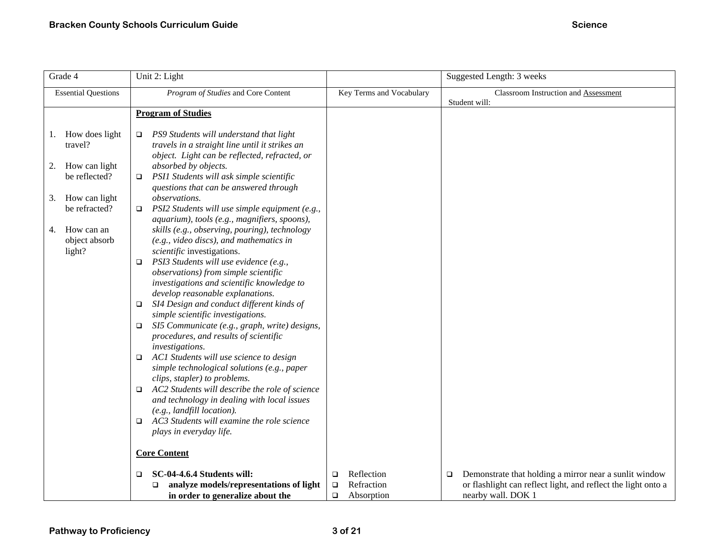| Grade 4                                                                                                                                                     | Unit 2: Light                                                                                                                                                                                                                                                                                                                                                                                                                                                                                                                                                                                                                                                                                                                                                                                                                                                                                                                                                                                                                                                                                                                                                                                                                                                                                         |                          | Suggested Length: 3 weeks                                        |
|-------------------------------------------------------------------------------------------------------------------------------------------------------------|-------------------------------------------------------------------------------------------------------------------------------------------------------------------------------------------------------------------------------------------------------------------------------------------------------------------------------------------------------------------------------------------------------------------------------------------------------------------------------------------------------------------------------------------------------------------------------------------------------------------------------------------------------------------------------------------------------------------------------------------------------------------------------------------------------------------------------------------------------------------------------------------------------------------------------------------------------------------------------------------------------------------------------------------------------------------------------------------------------------------------------------------------------------------------------------------------------------------------------------------------------------------------------------------------------|--------------------------|------------------------------------------------------------------|
| <b>Essential Questions</b>                                                                                                                                  | Program of Studies and Core Content                                                                                                                                                                                                                                                                                                                                                                                                                                                                                                                                                                                                                                                                                                                                                                                                                                                                                                                                                                                                                                                                                                                                                                                                                                                                   | Key Terms and Vocabulary | Classroom Instruction and Assessment<br>Student will:            |
|                                                                                                                                                             | <b>Program of Studies</b>                                                                                                                                                                                                                                                                                                                                                                                                                                                                                                                                                                                                                                                                                                                                                                                                                                                                                                                                                                                                                                                                                                                                                                                                                                                                             |                          |                                                                  |
| 1. How does light<br>travel?<br>How can light<br>2.<br>be reflected?<br>How can light<br>3.<br>be refracted?<br>How can an<br>4.<br>object absorb<br>light? | PS9 Students will understand that light<br>$\Box$<br>travels in a straight line until it strikes an<br>object. Light can be reflected, refracted, or<br>absorbed by objects.<br>PSI1 Students will ask simple scientific<br>$\Box$<br>questions that can be answered through<br><i>observations.</i><br>PSI2 Students will use simple equipment (e.g.,<br>$\Box$<br>aquarium), tools (e.g., magnifiers, spoons),<br>skills (e.g., observing, pouring), technology<br>(e.g., video discs), and mathematics in<br>scientific investigations.<br>PSI3 Students will use evidence (e.g.,<br>o.<br>observations) from simple scientific<br>investigations and scientific knowledge to<br>develop reasonable explanations.<br>SI4 Design and conduct different kinds of<br>❏<br>simple scientific investigations.<br>SI5 Communicate (e.g., graph, write) designs,<br>$\Box$<br>procedures, and results of scientific<br>investigations.<br>ACI Students will use science to design<br>$\Box$<br>simple technological solutions (e.g., paper<br>clips, stapler) to problems.<br>AC2 Students will describe the role of science<br>o.<br>and technology in dealing with local issues<br>$(e.g., \textit{landfill location}).$<br>AC3 Students will examine the role science<br>o.<br>plays in everyday life. |                          |                                                                  |
|                                                                                                                                                             | <b>Core Content</b>                                                                                                                                                                                                                                                                                                                                                                                                                                                                                                                                                                                                                                                                                                                                                                                                                                                                                                                                                                                                                                                                                                                                                                                                                                                                                   |                          |                                                                  |
|                                                                                                                                                             |                                                                                                                                                                                                                                                                                                                                                                                                                                                                                                                                                                                                                                                                                                                                                                                                                                                                                                                                                                                                                                                                                                                                                                                                                                                                                                       |                          |                                                                  |
|                                                                                                                                                             | SC-04-4.6.4 Students will:<br>□                                                                                                                                                                                                                                                                                                                                                                                                                                                                                                                                                                                                                                                                                                                                                                                                                                                                                                                                                                                                                                                                                                                                                                                                                                                                       | Reflection<br>□          | Demonstrate that holding a mirror near a sunlit window<br>$\Box$ |
|                                                                                                                                                             | analyze models/representations of light<br>□                                                                                                                                                                                                                                                                                                                                                                                                                                                                                                                                                                                                                                                                                                                                                                                                                                                                                                                                                                                                                                                                                                                                                                                                                                                          | Refraction<br>$\Box$     | or flashlight can reflect light, and reflect the light onto a    |
|                                                                                                                                                             | in order to generalize about the                                                                                                                                                                                                                                                                                                                                                                                                                                                                                                                                                                                                                                                                                                                                                                                                                                                                                                                                                                                                                                                                                                                                                                                                                                                                      | $\Box$<br>Absorption     | nearby wall. DOK 1                                               |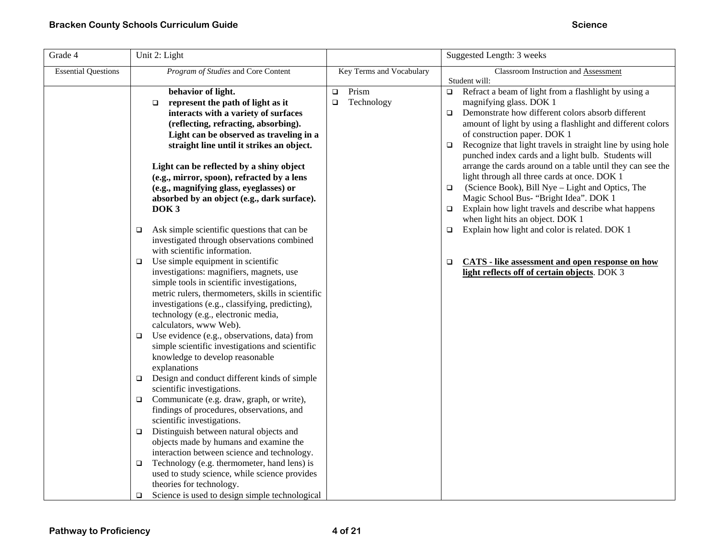| Grade 4                    | Unit 2: Light                                                                                                                                                                                                                                                                                                                                                                                                                                                                                                                                                                                                                                                                                                                                                                                                                                                                                                                                                                                                                                                                                                                                                                                                                                                                                                                                                      |                                         | Suggested Length: 3 weeks                                                                                                                                                                                                                                                                                                                                                                                                                                                                                                                                                                                                                                                                                                                                                                                                                                                                                         |
|----------------------------|--------------------------------------------------------------------------------------------------------------------------------------------------------------------------------------------------------------------------------------------------------------------------------------------------------------------------------------------------------------------------------------------------------------------------------------------------------------------------------------------------------------------------------------------------------------------------------------------------------------------------------------------------------------------------------------------------------------------------------------------------------------------------------------------------------------------------------------------------------------------------------------------------------------------------------------------------------------------------------------------------------------------------------------------------------------------------------------------------------------------------------------------------------------------------------------------------------------------------------------------------------------------------------------------------------------------------------------------------------------------|-----------------------------------------|-------------------------------------------------------------------------------------------------------------------------------------------------------------------------------------------------------------------------------------------------------------------------------------------------------------------------------------------------------------------------------------------------------------------------------------------------------------------------------------------------------------------------------------------------------------------------------------------------------------------------------------------------------------------------------------------------------------------------------------------------------------------------------------------------------------------------------------------------------------------------------------------------------------------|
| <b>Essential Questions</b> | Program of Studies and Core Content                                                                                                                                                                                                                                                                                                                                                                                                                                                                                                                                                                                                                                                                                                                                                                                                                                                                                                                                                                                                                                                                                                                                                                                                                                                                                                                                | Key Terms and Vocabulary                | Classroom Instruction and Assessment                                                                                                                                                                                                                                                                                                                                                                                                                                                                                                                                                                                                                                                                                                                                                                                                                                                                              |
|                            | behavior of light.<br>represent the path of light as it<br>$\Box$<br>interacts with a variety of surfaces<br>(reflecting, refracting, absorbing).<br>Light can be observed as traveling in a<br>straight line until it strikes an object.<br>Light can be reflected by a shiny object<br>(e.g., mirror, spoon), refracted by a lens<br>(e.g., magnifying glass, eyeglasses) or<br>absorbed by an object (e.g., dark surface).<br>DOK <sub>3</sub><br>Ask simple scientific questions that can be<br>□<br>investigated through observations combined<br>with scientific information.<br>Use simple equipment in scientific<br>□<br>investigations: magnifiers, magnets, use<br>simple tools in scientific investigations,<br>metric rulers, thermometers, skills in scientific<br>investigations (e.g., classifying, predicting),<br>technology (e.g., electronic media,<br>calculators, www Web).<br>Use evidence (e.g., observations, data) from<br>□<br>simple scientific investigations and scientific<br>knowledge to develop reasonable<br>explanations<br>Design and conduct different kinds of simple<br>o<br>scientific investigations.<br>Communicate (e.g. draw, graph, or write),<br>findings of procedures, observations, and<br>scientific investigations.<br>Distinguish between natural objects and<br>o.<br>objects made by humans and examine the | Prism<br>$\Box$<br>Technology<br>$\Box$ | Student will:<br>Refract a beam of light from a flashlight by using a<br>$\Box$<br>magnifying glass. DOK 1<br>Demonstrate how different colors absorb different<br>$\Box$<br>amount of light by using a flashlight and different colors<br>of construction paper. DOK 1<br>Recognize that light travels in straight line by using hole<br>$\Box$<br>punched index cards and a light bulb. Students will<br>arrange the cards around on a table until they can see the<br>light through all three cards at once. DOK 1<br>(Science Book), Bill Nye - Light and Optics, The<br>$\Box$<br>Magic School Bus- "Bright Idea". DOK 1<br>Explain how light travels and describe what happens<br>$\Box$<br>when light hits an object. DOK 1<br>Explain how light and color is related. DOK 1<br>$\Box$<br><b>CATS</b> - like assessment and open response on how<br>$\Box$<br>light reflects off of certain objects. DOK 3 |
|                            | interaction between science and technology.<br>Technology (e.g. thermometer, hand lens) is<br>□<br>used to study science, while science provides<br>theories for technology.                                                                                                                                                                                                                                                                                                                                                                                                                                                                                                                                                                                                                                                                                                                                                                                                                                                                                                                                                                                                                                                                                                                                                                                       |                                         |                                                                                                                                                                                                                                                                                                                                                                                                                                                                                                                                                                                                                                                                                                                                                                                                                                                                                                                   |
|                            | Science is used to design simple technological<br>$\Box$                                                                                                                                                                                                                                                                                                                                                                                                                                                                                                                                                                                                                                                                                                                                                                                                                                                                                                                                                                                                                                                                                                                                                                                                                                                                                                           |                                         |                                                                                                                                                                                                                                                                                                                                                                                                                                                                                                                                                                                                                                                                                                                                                                                                                                                                                                                   |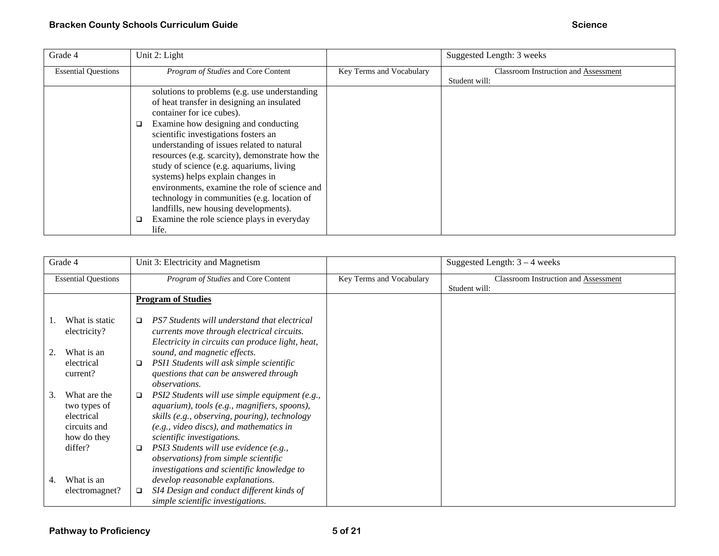| Grade 4                    |   | Unit 2: Light                                  |                          | Suggested Length: 3 weeks                   |
|----------------------------|---|------------------------------------------------|--------------------------|---------------------------------------------|
| <b>Essential Questions</b> |   | Program of Studies and Core Content            | Key Terms and Vocabulary | <b>Classroom Instruction and Assessment</b> |
|                            |   |                                                |                          | Student will:                               |
|                            |   | solutions to problems (e.g. use understanding  |                          |                                             |
|                            |   | of heat transfer in designing an insulated     |                          |                                             |
|                            |   | container for ice cubes).                      |                          |                                             |
|                            | □ | Examine how designing and conducting           |                          |                                             |
|                            |   | scientific investigations fosters an           |                          |                                             |
|                            |   | understanding of issues related to natural     |                          |                                             |
|                            |   | resources (e.g. scarcity), demonstrate how the |                          |                                             |
|                            |   | study of science (e.g. aquariums, living       |                          |                                             |
|                            |   | systems) helps explain changes in              |                          |                                             |
|                            |   | environments, examine the role of science and  |                          |                                             |
|                            |   | technology in communities (e.g. location of    |                          |                                             |
|                            |   | landfills, new housing developments).          |                          |                                             |
|                            |   | Examine the role science plays in everyday     |                          |                                             |
|                            |   | life.                                          |                          |                                             |

| Grade 4                    |                                                                           |        | Unit 3: Electricity and Magnetism                                                                                                                                                                                        |                          | Suggested Length: $3 - 4$ weeks                              |
|----------------------------|---------------------------------------------------------------------------|--------|--------------------------------------------------------------------------------------------------------------------------------------------------------------------------------------------------------------------------|--------------------------|--------------------------------------------------------------|
| <b>Essential Questions</b> |                                                                           |        | Program of Studies and Core Content                                                                                                                                                                                      | Key Terms and Vocabulary | <b>Classroom Instruction and Assessment</b><br>Student will: |
|                            |                                                                           |        | <b>Program of Studies</b>                                                                                                                                                                                                |                          |                                                              |
|                            | What is static<br>electricity?                                            | $\Box$ | PS7 Students will understand that electrical<br>currents move through electrical circuits.<br>Electricity in circuits can produce light, heat,                                                                           |                          |                                                              |
|                            | What is an                                                                |        | sound, and magnetic effects.                                                                                                                                                                                             |                          |                                                              |
|                            | electrical<br>current?                                                    | $\Box$ | PSI1 Students will ask simple scientific<br>questions that can be answered through<br><i>observations.</i>                                                                                                               |                          |                                                              |
| 3.                         | What are the<br>two types of<br>electrical<br>circuits and<br>how do they | $\Box$ | PSI2 Students will use simple equipment (e.g.,<br>aquarium), tools (e.g., magnifiers, spoons),<br>skills (e.g., observing, pouring), technology<br>(e.g., video discs), and mathematics in<br>scientific investigations. |                          |                                                              |
|                            | differ?                                                                   | $\Box$ | PSI3 Students will use evidence (e.g.,<br>observations) from simple scientific<br>investigations and scientific knowledge to                                                                                             |                          |                                                              |
| 4.                         | What is an                                                                |        | develop reasonable explanations.                                                                                                                                                                                         |                          |                                                              |
|                            | electromagnet?                                                            | $\Box$ | SI4 Design and conduct different kinds of<br>simple scientific investigations.                                                                                                                                           |                          |                                                              |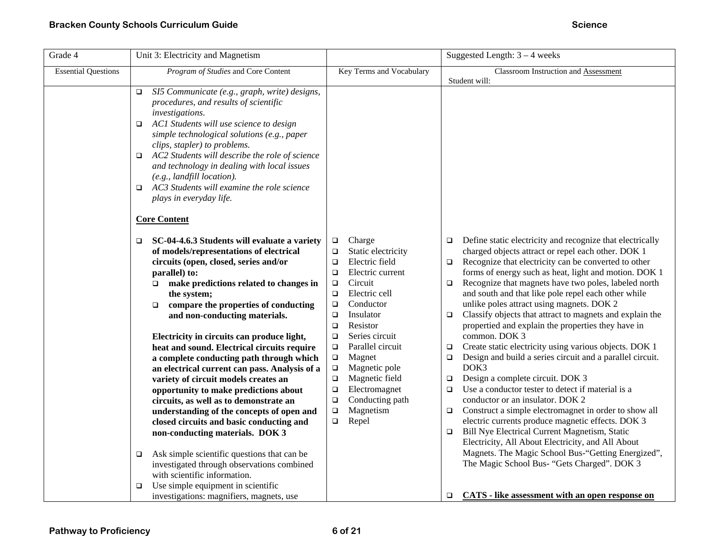| Grade 4                    |                     | Unit 3: Electricity and Magnetism                                                      |                  |                                  |        | Suggested Length: $3 - 4$ weeks                                                                             |
|----------------------------|---------------------|----------------------------------------------------------------------------------------|------------------|----------------------------------|--------|-------------------------------------------------------------------------------------------------------------|
| <b>Essential Questions</b> |                     | Program of Studies and Core Content                                                    |                  | Key Terms and Vocabulary         |        | Classroom Instruction and Assessment                                                                        |
|                            |                     |                                                                                        |                  |                                  |        | Student will:                                                                                               |
|                            | $\Box$              | SI5 Communicate (e.g., graph, write) designs,                                          |                  |                                  |        |                                                                                                             |
|                            |                     | procedures, and results of scientific                                                  |                  |                                  |        |                                                                                                             |
|                            | investigations.     |                                                                                        |                  |                                  |        |                                                                                                             |
|                            | ▫                   | AC1 Students will use science to design<br>simple technological solutions (e.g., paper |                  |                                  |        |                                                                                                             |
|                            |                     | clips, stapler) to problems.                                                           |                  |                                  |        |                                                                                                             |
|                            | □                   | AC2 Students will describe the role of science                                         |                  |                                  |        |                                                                                                             |
|                            |                     | and technology in dealing with local issues                                            |                  |                                  |        |                                                                                                             |
|                            |                     | $(e.g., \textit{landfill location}).$                                                  |                  |                                  |        |                                                                                                             |
|                            | □                   | AC3 Students will examine the role science                                             |                  |                                  |        |                                                                                                             |
|                            |                     | plays in everyday life.                                                                |                  |                                  |        |                                                                                                             |
|                            | <b>Core Content</b> |                                                                                        |                  |                                  |        |                                                                                                             |
|                            |                     |                                                                                        |                  |                                  |        |                                                                                                             |
|                            | □                   | SC-04-4.6.3 Students will evaluate a variety                                           | $\Box$           | Charge                           | $\Box$ | Define static electricity and recognize that electrically                                                   |
|                            |                     | of models/representations of electrical                                                | $\Box$           | Static electricity               |        | charged objects attract or repel each other. DOK 1                                                          |
|                            |                     | circuits (open, closed, series and/or                                                  | $\Box$           | Electric field                   | $\Box$ | Recognize that electricity can be converted to other                                                        |
|                            | parallel) to:       |                                                                                        | □                | Electric current                 |        | forms of energy such as heat, light and motion. DOK 1                                                       |
|                            |                     | $\Box$ make predictions related to changes in<br>the system;                           | $\Box$<br>$\Box$ | Circuit<br>Electric cell         | $\Box$ | Recognize that magnets have two poles, labeled north<br>and south and that like pole repel each other while |
|                            | $\Box$              | compare the properties of conducting                                                   | $\Box$           | Conductor                        |        | unlike poles attract using magnets. DOK 2                                                                   |
|                            |                     | and non-conducting materials.                                                          | $\Box$           | Insulator                        | $\Box$ | Classify objects that attract to magnets and explain the                                                    |
|                            |                     |                                                                                        | $\Box$           | Resistor                         |        | propertied and explain the properties they have in                                                          |
|                            |                     | Electricity in circuits can produce light,                                             | $\Box$           | Series circuit                   |        | common. DOK 3                                                                                               |
|                            |                     | heat and sound. Electrical circuits require                                            | $\Box$           | Parallel circuit                 | $\Box$ | Create static electricity using various objects. DOK 1                                                      |
|                            |                     | a complete conducting path through which                                               | $\Box$           | Magnet                           | $\Box$ | Design and build a series circuit and a parallel circuit.                                                   |
|                            |                     | an electrical current can pass. Analysis of a                                          | $\Box$           | Magnetic pole                    |        | DOK3                                                                                                        |
|                            |                     | variety of circuit models creates an                                                   | $\Box$           | Magnetic field                   | $\Box$ | Design a complete circuit. DOK 3                                                                            |
|                            |                     | opportunity to make predictions about                                                  | $\Box$<br>$\Box$ | Electromagnet<br>Conducting path | $\Box$ | Use a conductor tester to detect if material is a<br>conductor or an insulator. DOK 2                       |
|                            |                     | circuits, as well as to demonstrate an<br>understanding of the concepts of open and    | $\Box$           | Magnetism                        | $\Box$ | Construct a simple electromagnet in order to show all                                                       |
|                            |                     | closed circuits and basic conducting and                                               | $\Box$           | Repel                            |        | electric currents produce magnetic effects. DOK 3                                                           |
|                            |                     | non-conducting materials. DOK 3                                                        |                  |                                  | $\Box$ | Bill Nye Electrical Current Magnetism, Static                                                               |
|                            |                     |                                                                                        |                  |                                  |        | Electricity, All About Electricity, and All About                                                           |
|                            | □                   | Ask simple scientific questions that can be                                            |                  |                                  |        | Magnets. The Magic School Bus-"Getting Energized",                                                          |
|                            |                     | investigated through observations combined                                             |                  |                                  |        | The Magic School Bus- "Gets Charged". DOK 3                                                                 |
|                            |                     | with scientific information.                                                           |                  |                                  |        |                                                                                                             |
|                            | $\Box$              | Use simple equipment in scientific                                                     |                  |                                  |        |                                                                                                             |
|                            |                     | investigations: magnifiers, magnets, use                                               |                  |                                  | □      | CATS - like assessment with an open response on                                                             |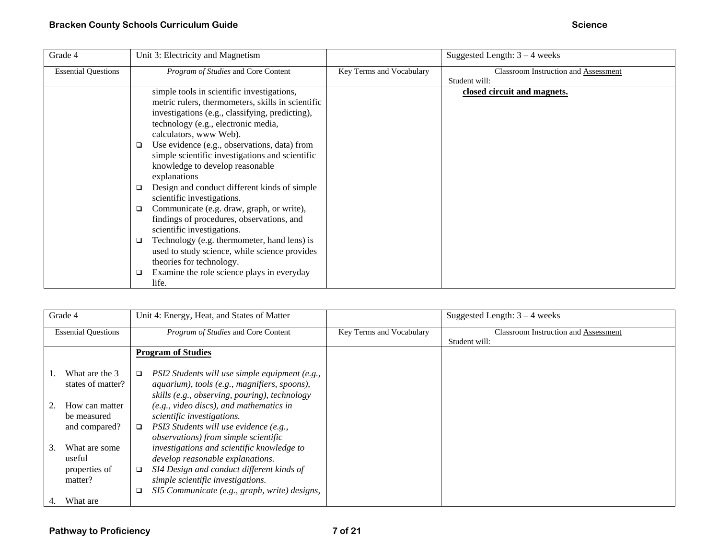| Grade 4                    | Unit 3: Electricity and Magnetism                                                                                                                                                                                                                                                                                                                                                                                                                                                                                                                                                                                                                                                                                                                                                           |                          | Suggested Length: $3 - 4$ weeks                              |
|----------------------------|---------------------------------------------------------------------------------------------------------------------------------------------------------------------------------------------------------------------------------------------------------------------------------------------------------------------------------------------------------------------------------------------------------------------------------------------------------------------------------------------------------------------------------------------------------------------------------------------------------------------------------------------------------------------------------------------------------------------------------------------------------------------------------------------|--------------------------|--------------------------------------------------------------|
| <b>Essential Questions</b> | Program of Studies and Core Content                                                                                                                                                                                                                                                                                                                                                                                                                                                                                                                                                                                                                                                                                                                                                         | Key Terms and Vocabulary | <b>Classroom Instruction and Assessment</b><br>Student will: |
|                            | simple tools in scientific investigations,<br>metric rulers, thermometers, skills in scientific<br>investigations (e.g., classifying, predicting),<br>technology (e.g., electronic media,<br>calculators, www Web).<br>Use evidence (e.g., observations, data) from<br>□<br>simple scientific investigations and scientific<br>knowledge to develop reasonable<br>explanations<br>Design and conduct different kinds of simple<br>□<br>scientific investigations.<br>Communicate (e.g. draw, graph, or write),<br>□<br>findings of procedures, observations, and<br>scientific investigations.<br>Technology (e.g. thermometer, hand lens) is<br>□<br>used to study science, while science provides<br>theories for technology.<br>Examine the role science plays in everyday<br>□<br>life. |                          | closed circuit and magnets.                                  |

| Grade 4 |                            |        | Unit 4: Energy, Heat, and States of Matter     |                          | Suggested Length: $3 - 4$ weeks             |
|---------|----------------------------|--------|------------------------------------------------|--------------------------|---------------------------------------------|
|         | <b>Essential Questions</b> |        | Program of Studies and Core Content            | Key Terms and Vocabulary | <b>Classroom Instruction and Assessment</b> |
|         |                            |        |                                                |                          | Student will:                               |
|         |                            |        | <b>Program of Studies</b>                      |                          |                                             |
|         |                            |        |                                                |                          |                                             |
|         | What are the 3             | $\Box$ | PSI2 Students will use simple equipment (e.g., |                          |                                             |
|         | states of matter?          |        | aquarium), tools (e.g., magnifiers, spoons),   |                          |                                             |
|         |                            |        | skills (e.g., observing, pouring), technology  |                          |                                             |
|         | How can matter             |        | $(e.g., video discs), and mathematics in$      |                          |                                             |
|         | be measured                |        | scientific investigations.                     |                          |                                             |
|         | and compared?              | $\Box$ | PSI3 Students will use evidence (e.g.,         |                          |                                             |
|         |                            |        | <i>observations</i> ) from simple scientific   |                          |                                             |
| 3.      | What are some              |        | investigations and scientific knowledge to     |                          |                                             |
|         | useful                     |        | develop reasonable explanations.               |                          |                                             |
|         |                            |        |                                                |                          |                                             |
|         | properties of              | □      | SI4 Design and conduct different kinds of      |                          |                                             |
|         | matter?                    |        | simple scientific investigations.              |                          |                                             |
|         |                            |        | SI5 Communicate (e.g., graph, write) designs,  |                          |                                             |
| 4.      | What are                   |        |                                                |                          |                                             |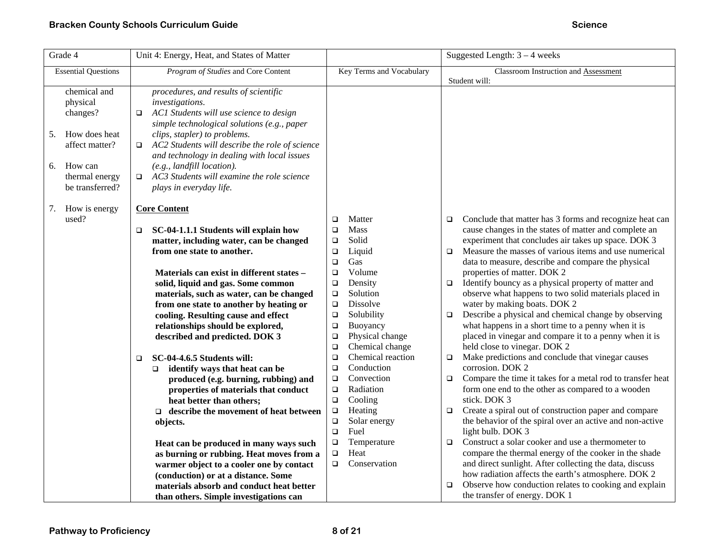| Grade 4                                                                                                                             | Unit 4: Energy, Heat, and States of Matter                                                                                                                                                                                                                                                                                                                                                                          | Suggested Length: $3 - 4$ weeks                      |                                                                                                                                                                              |
|-------------------------------------------------------------------------------------------------------------------------------------|---------------------------------------------------------------------------------------------------------------------------------------------------------------------------------------------------------------------------------------------------------------------------------------------------------------------------------------------------------------------------------------------------------------------|------------------------------------------------------|------------------------------------------------------------------------------------------------------------------------------------------------------------------------------|
| <b>Essential Questions</b>                                                                                                          | Program of Studies and Core Content                                                                                                                                                                                                                                                                                                                                                                                 | Key Terms and Vocabulary                             | Classroom Instruction and Assessment                                                                                                                                         |
| chemical and<br>physical<br>changes?<br>How does heat<br>5.<br>affect matter?<br>How can<br>6.<br>thermal energy<br>be transferred? | procedures, and results of scientific<br>investigations.<br>AC1 Students will use science to design<br>□<br>simple technological solutions (e.g., paper<br>clips, stapler) to problems.<br>AC2 Students will describe the role of science<br>$\Box$<br>and technology in dealing with local issues<br>(e.g., landfill location).<br>AC3 Students will examine the role science<br>$\Box$<br>plays in everyday life. |                                                      | Student will:                                                                                                                                                                |
| How is energy<br>7.<br>used?                                                                                                        | <b>Core Content</b><br>SC-04-1.1.1 Students will explain how<br>□                                                                                                                                                                                                                                                                                                                                                   | Matter<br>$\Box$<br>Mass<br>$\Box$                   | Conclude that matter has 3 forms and recognize heat can<br>$\Box$<br>cause changes in the states of matter and complete an                                                   |
|                                                                                                                                     | matter, including water, can be changed<br>from one state to another.                                                                                                                                                                                                                                                                                                                                               | Solid<br>$\Box$<br>Liquid<br>$\Box$<br>$\Box$<br>Gas | experiment that concludes air takes up space. DOK 3<br>Measure the masses of various items and use numerical<br>$\Box$<br>data to measure, describe and compare the physical |
|                                                                                                                                     | Materials can exist in different states -<br>solid, liquid and gas. Some common                                                                                                                                                                                                                                                                                                                                     | Volume<br>$\Box$<br>$\Box$<br>Density                | properties of matter. DOK 2<br>Identify bouncy as a physical property of matter and<br>$\Box$                                                                                |
|                                                                                                                                     | materials, such as water, can be changed                                                                                                                                                                                                                                                                                                                                                                            | Solution<br>$\Box$                                   | observe what happens to two solid materials placed in                                                                                                                        |
|                                                                                                                                     | from one state to another by heating or                                                                                                                                                                                                                                                                                                                                                                             | Dissolve<br>$\Box$                                   | water by making boats. DOK 2                                                                                                                                                 |
|                                                                                                                                     | cooling. Resulting cause and effect<br>relationships should be explored,                                                                                                                                                                                                                                                                                                                                            | Solubility<br>$\Box$<br>Buoyancy                     | Describe a physical and chemical change by observing<br>$\Box$<br>what happens in a short time to a penny when it is                                                         |
|                                                                                                                                     | described and predicted. DOK 3                                                                                                                                                                                                                                                                                                                                                                                      | $\Box$<br>Physical change<br>$\Box$                  | placed in vinegar and compare it to a penny when it is                                                                                                                       |
|                                                                                                                                     |                                                                                                                                                                                                                                                                                                                                                                                                                     | Chemical change<br>$\Box$                            | held close to vinegar. DOK 2                                                                                                                                                 |
|                                                                                                                                     | SC-04-4.6.5 Students will:<br>$\Box$                                                                                                                                                                                                                                                                                                                                                                                | Chemical reaction<br>$\Box$                          | Make predictions and conclude that vinegar causes<br>$\Box$                                                                                                                  |
|                                                                                                                                     | identify ways that heat can be<br>$\Box$                                                                                                                                                                                                                                                                                                                                                                            | Conduction<br>$\Box$<br>Convection                   | corrosion. DOK 2<br>Compare the time it takes for a metal rod to transfer heat                                                                                               |
|                                                                                                                                     | produced (e.g. burning, rubbing) and<br>properties of materials that conduct                                                                                                                                                                                                                                                                                                                                        | $\Box$<br>$\Box$<br>Radiation                        | $\Box$<br>form one end to the other as compared to a wooden                                                                                                                  |
|                                                                                                                                     | heat better than others;                                                                                                                                                                                                                                                                                                                                                                                            | Cooling<br>$\Box$                                    | stick. DOK 3                                                                                                                                                                 |
|                                                                                                                                     | $\Box$ describe the movement of heat between                                                                                                                                                                                                                                                                                                                                                                        | $\Box$<br>Heating                                    | Create a spiral out of construction paper and compare<br>$\Box$                                                                                                              |
|                                                                                                                                     | objects.                                                                                                                                                                                                                                                                                                                                                                                                            | Solar energy<br>$\Box$                               | the behavior of the spiral over an active and non-active                                                                                                                     |
|                                                                                                                                     |                                                                                                                                                                                                                                                                                                                                                                                                                     | Fuel<br>$\Box$                                       | light bulb. DOK 3                                                                                                                                                            |
|                                                                                                                                     | Heat can be produced in many ways such                                                                                                                                                                                                                                                                                                                                                                              | Temperature<br>$\Box$                                | Construct a solar cooker and use a thermometer to<br>$\Box$                                                                                                                  |
|                                                                                                                                     | as burning or rubbing. Heat moves from a                                                                                                                                                                                                                                                                                                                                                                            | $\Box$<br>Heat<br>Conservation<br>$\Box$             | compare the thermal energy of the cooker in the shade<br>and direct sunlight. After collecting the data, discuss                                                             |
|                                                                                                                                     | warmer object to a cooler one by contact                                                                                                                                                                                                                                                                                                                                                                            |                                                      | how radiation affects the earth's atmosphere. DOK 2                                                                                                                          |
|                                                                                                                                     | (conduction) or at a distance. Some<br>materials absorb and conduct heat better                                                                                                                                                                                                                                                                                                                                     |                                                      | Observe how conduction relates to cooking and explain<br>▫                                                                                                                   |
|                                                                                                                                     | than others. Simple investigations can                                                                                                                                                                                                                                                                                                                                                                              |                                                      | the transfer of energy. DOK 1                                                                                                                                                |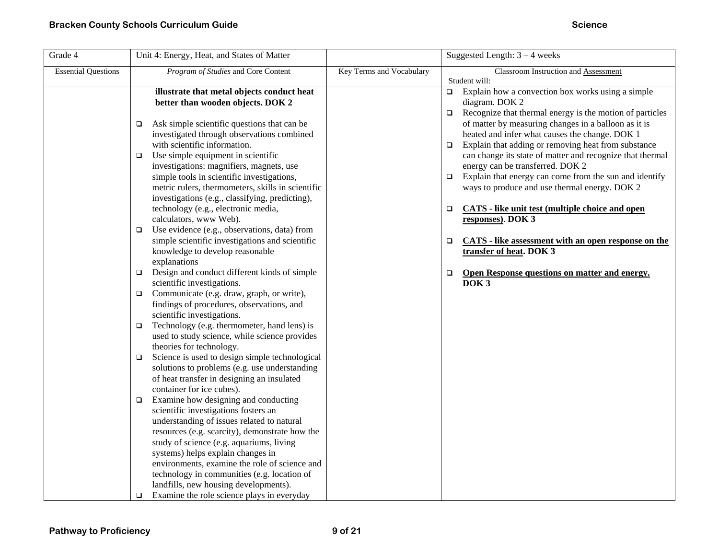| Grade 4                    | Unit 4: Energy, Heat, and States of Matter                                                                                                                                                                                         |                          | Suggested Length: $3 - 4$ weeks                                                                                                                                                                                                               |
|----------------------------|------------------------------------------------------------------------------------------------------------------------------------------------------------------------------------------------------------------------------------|--------------------------|-----------------------------------------------------------------------------------------------------------------------------------------------------------------------------------------------------------------------------------------------|
| <b>Essential Questions</b> | Program of Studies and Core Content                                                                                                                                                                                                | Key Terms and Vocabulary | Classroom Instruction and Assessment<br>Student will:                                                                                                                                                                                         |
|                            | illustrate that metal objects conduct heat<br>better than wooden objects. DOK 2                                                                                                                                                    |                          | Explain how a convection box works using a simple<br>$\Box$<br>diagram. DOK 2                                                                                                                                                                 |
|                            | Ask simple scientific questions that can be<br>□<br>investigated through observations combined<br>with scientific information.                                                                                                     |                          | Recognize that thermal energy is the motion of particles<br>$\Box$<br>of matter by measuring changes in a balloon as it is<br>heated and infer what causes the change. DOK 1<br>Explain that adding or removing heat from substance<br>$\Box$ |
|                            | Use simple equipment in scientific<br>$\Box$<br>investigations: magnifiers, magnets, use                                                                                                                                           |                          | can change its state of matter and recognize that thermal<br>energy can be transferred. DOK 2                                                                                                                                                 |
|                            | simple tools in scientific investigations,<br>metric rulers, thermometers, skills in scientific                                                                                                                                    |                          | Explain that energy can come from the sun and identify<br>$\Box$<br>ways to produce and use thermal energy. DOK 2                                                                                                                             |
|                            | investigations (e.g., classifying, predicting),<br>technology (e.g., electronic media,<br>calculators, www Web).                                                                                                                   |                          | <b>CATS</b> - like unit test (multiple choice and open<br>$\Box$<br>responses). DOK 3                                                                                                                                                         |
|                            | Use evidence (e.g., observations, data) from<br>$\Box$<br>simple scientific investigations and scientific<br>knowledge to develop reasonable<br>explanations                                                                       |                          | <b>CATS</b> - like assessment with an open response on the<br>$\Box$<br>transfer of heat. DOK 3                                                                                                                                               |
|                            | Design and conduct different kinds of simple<br>O.<br>scientific investigations.                                                                                                                                                   |                          | Open Response questions on matter and energy.<br>$\Box$<br>DOK <sub>3</sub>                                                                                                                                                                   |
|                            | Communicate (e.g. draw, graph, or write),<br>$\Box$<br>findings of procedures, observations, and<br>scientific investigations.                                                                                                     |                          |                                                                                                                                                                                                                                               |
|                            | Technology (e.g. thermometer, hand lens) is<br>□<br>used to study science, while science provides<br>theories for technology.                                                                                                      |                          |                                                                                                                                                                                                                                               |
|                            | Science is used to design simple technological<br>$\Box$<br>solutions to problems (e.g. use understanding<br>of heat transfer in designing an insulated<br>container for ice cubes).                                               |                          |                                                                                                                                                                                                                                               |
|                            | Examine how designing and conducting<br>□<br>scientific investigations fosters an<br>understanding of issues related to natural<br>resources (e.g. scarcity), demonstrate how the<br>study of science (e.g. aquariums, living      |                          |                                                                                                                                                                                                                                               |
|                            | systems) helps explain changes in<br>environments, examine the role of science and<br>technology in communities (e.g. location of<br>landfills, new housing developments).<br>Examine the role science plays in everyday<br>$\Box$ |                          |                                                                                                                                                                                                                                               |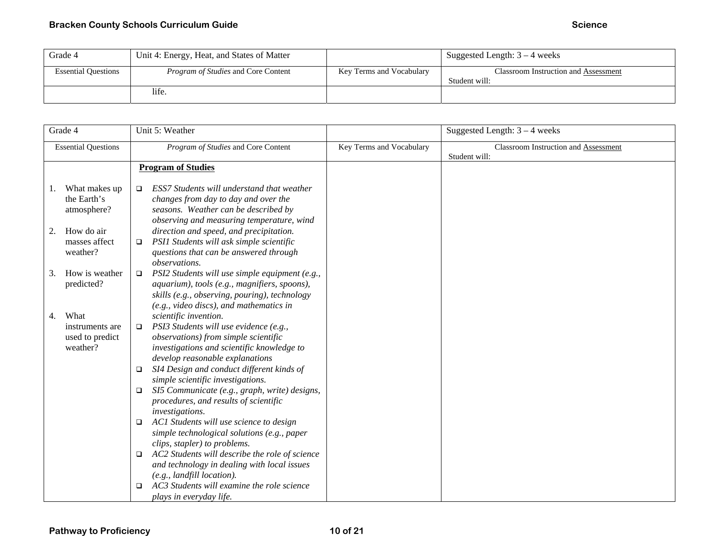| Grade 4                    | Unit 4: Energy, Heat, and States of Matter |                          | Suggested Length: $3 - 4$ weeks                       |
|----------------------------|--------------------------------------------|--------------------------|-------------------------------------------------------|
| <b>Essential Questions</b> | <i>Program of Studies</i> and Core Content | Key Terms and Vocabulary | Classroom Instruction and Assessment<br>Student will: |
|                            | life.                                      |                          |                                                       |

| Grade 4                    |                                                        | Unit 5: Weather                                                                                                                                                                                                                                                                                                                                                                                                                                                                                                                                                                                                                                                                          |                          | Suggested Length: $3 - 4$ weeks                              |
|----------------------------|--------------------------------------------------------|------------------------------------------------------------------------------------------------------------------------------------------------------------------------------------------------------------------------------------------------------------------------------------------------------------------------------------------------------------------------------------------------------------------------------------------------------------------------------------------------------------------------------------------------------------------------------------------------------------------------------------------------------------------------------------------|--------------------------|--------------------------------------------------------------|
| <b>Essential Questions</b> |                                                        | Program of Studies and Core Content                                                                                                                                                                                                                                                                                                                                                                                                                                                                                                                                                                                                                                                      | Key Terms and Vocabulary | <b>Classroom Instruction and Assessment</b><br>Student will: |
|                            |                                                        | <b>Program of Studies</b>                                                                                                                                                                                                                                                                                                                                                                                                                                                                                                                                                                                                                                                                |                          |                                                              |
| 1.                         | What makes up<br>the Earth's<br>atmosphere?            | ESS7 Students will understand that weather<br>$\Box$<br>changes from day to day and over the<br>seasons. Weather can be described by<br>observing and measuring temperature, wind                                                                                                                                                                                                                                                                                                                                                                                                                                                                                                        |                          |                                                              |
| 2.                         | How do air<br>masses affect<br>weather?                | direction and speed, and precipitation.<br>PSI1 Students will ask simple scientific<br>$\Box$<br>questions that can be answered through<br>observations.                                                                                                                                                                                                                                                                                                                                                                                                                                                                                                                                 |                          |                                                              |
| 3.                         | How is weather<br>predicted?                           | PSI2 Students will use simple equipment (e.g.,<br>$\Box$<br>aquarium), tools (e.g., magnifiers, spoons),<br>skills (e.g., observing, pouring), technology<br>$(e.g., video discs), and mathematics in$                                                                                                                                                                                                                                                                                                                                                                                                                                                                                   |                          |                                                              |
| 4.                         | What<br>instruments are<br>used to predict<br>weather? | scientific invention.<br>PSI3 Students will use evidence (e.g.,<br>▫<br>observations) from simple scientific<br>investigations and scientific knowledge to<br>develop reasonable explanations<br>SI4 Design and conduct different kinds of<br>□<br>simple scientific investigations.<br>SI5 Communicate (e.g., graph, write) designs,<br>$\Box$<br>procedures, and results of scientific<br>investigations.<br>AC1 Students will use science to design<br>$\Box$<br>simple technological solutions (e.g., paper<br>clips, stapler) to problems.<br>AC2 Students will describe the role of science<br>$\Box$<br>and technology in dealing with local issues<br>(e.g., landfill location). |                          |                                                              |
|                            |                                                        | AC3 Students will examine the role science<br>□<br>plays in everyday life.                                                                                                                                                                                                                                                                                                                                                                                                                                                                                                                                                                                                               |                          |                                                              |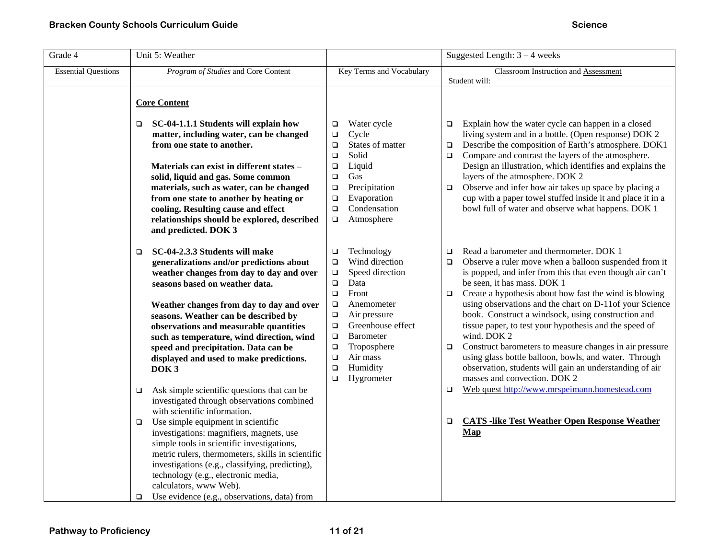| Grade 4                    | Unit 5: Weather                                                                                                                                                                                                                                                                                                                                                                                                                                                                                                  |                                                                                                                                                                                                                                                                                                                                | Suggested Length: $3 - 4$ weeks                                                                                                                                                                                                                                                                                                                                                                                                                                                                                                                                                                                                                                                                         |
|----------------------------|------------------------------------------------------------------------------------------------------------------------------------------------------------------------------------------------------------------------------------------------------------------------------------------------------------------------------------------------------------------------------------------------------------------------------------------------------------------------------------------------------------------|--------------------------------------------------------------------------------------------------------------------------------------------------------------------------------------------------------------------------------------------------------------------------------------------------------------------------------|---------------------------------------------------------------------------------------------------------------------------------------------------------------------------------------------------------------------------------------------------------------------------------------------------------------------------------------------------------------------------------------------------------------------------------------------------------------------------------------------------------------------------------------------------------------------------------------------------------------------------------------------------------------------------------------------------------|
| <b>Essential Questions</b> | Program of Studies and Core Content                                                                                                                                                                                                                                                                                                                                                                                                                                                                              | Key Terms and Vocabulary                                                                                                                                                                                                                                                                                                       | Classroom Instruction and Assessment<br>Student will:                                                                                                                                                                                                                                                                                                                                                                                                                                                                                                                                                                                                                                                   |
|                            | <b>Core Content</b>                                                                                                                                                                                                                                                                                                                                                                                                                                                                                              |                                                                                                                                                                                                                                                                                                                                |                                                                                                                                                                                                                                                                                                                                                                                                                                                                                                                                                                                                                                                                                                         |
|                            | SC-04-1.1.1 Students will explain how<br>$\Box$<br>matter, including water, can be changed<br>from one state to another.<br>Materials can exist in different states -<br>solid, liquid and gas. Some common<br>materials, such as water, can be changed<br>from one state to another by heating or<br>cooling. Resulting cause and effect<br>relationships should be explored, described<br>and predicted. DOK 3                                                                                                 | Water cycle<br>$\Box$<br>Cycle<br>$\Box$<br>States of matter<br>$\Box$<br>Solid<br>$\Box$<br>Liquid<br>$\Box$<br>Gas<br>$\Box$<br>Precipitation<br>$\Box$<br>Evaporation<br>$\Box$<br>Condensation<br>$\Box$<br>Atmosphere<br>$\Box$                                                                                           | Explain how the water cycle can happen in a closed<br>$\Box$<br>living system and in a bottle. (Open response) DOK 2<br>Describe the composition of Earth's atmosphere. DOK1<br>$\Box$<br>Compare and contrast the layers of the atmosphere.<br>$\Box$<br>Design an illustration, which identifies and explains the<br>layers of the atmosphere. DOK 2<br>Observe and infer how air takes up space by placing a<br>$\Box$<br>cup with a paper towel stuffed inside it and place it in a<br>bowl full of water and observe what happens. DOK 1                                                                                                                                                           |
|                            | SC-04-2.3.3 Students will make<br>□<br>generalizations and/or predictions about<br>weather changes from day to day and over<br>seasons based on weather data.<br>Weather changes from day to day and over<br>seasons. Weather can be described by<br>observations and measurable quantities<br>such as temperature, wind direction, wind<br>speed and precipitation. Data can be<br>displayed and used to make predictions.<br>DOK <sub>3</sub>                                                                  | Technology<br>$\Box$<br>Wind direction<br>$\Box$<br>Speed direction<br>$\Box$<br>$\Box$<br>Data<br>$\Box$<br>Front<br>Anemometer<br>$\Box$<br>Air pressure<br>$\Box$<br>Greenhouse effect<br>$\Box$<br>$\Box$<br><b>Barometer</b><br>Troposphere<br>$\Box$<br>Air mass<br>$\Box$<br>Humidity<br>$\Box$<br>Hygrometer<br>$\Box$ | Read a barometer and thermometer. DOK 1<br>$\Box$<br>Observe a ruler move when a balloon suspended from it<br>$\Box$<br>is popped, and infer from this that even though air can't<br>be seen, it has mass. DOK 1<br>Create a hypothesis about how fast the wind is blowing<br>$\Box$<br>using observations and the chart on D-11of your Science<br>book. Construct a windsock, using construction and<br>tissue paper, to test your hypothesis and the speed of<br>wind. DOK 2<br>Construct barometers to measure changes in air pressure<br>$\Box$<br>using glass bottle balloon, bowls, and water. Through<br>observation, students will gain an understanding of air<br>masses and convection. DOK 2 |
|                            | Ask simple scientific questions that can be<br>$\Box$<br>investigated through observations combined<br>with scientific information.<br>Use simple equipment in scientific<br>$\Box$<br>investigations: magnifiers, magnets, use<br>simple tools in scientific investigations,<br>metric rulers, thermometers, skills in scientific<br>investigations (e.g., classifying, predicting),<br>technology (e.g., electronic media,<br>calculators, www Web).<br>Use evidence (e.g., observations, data) from<br>$\Box$ |                                                                                                                                                                                                                                                                                                                                | Web quest http://www.mrspeimann.homestead.com<br>$\Box$<br><b>CATS</b> -like Test Weather Open Response Weather<br>$\Box$<br>Map                                                                                                                                                                                                                                                                                                                                                                                                                                                                                                                                                                        |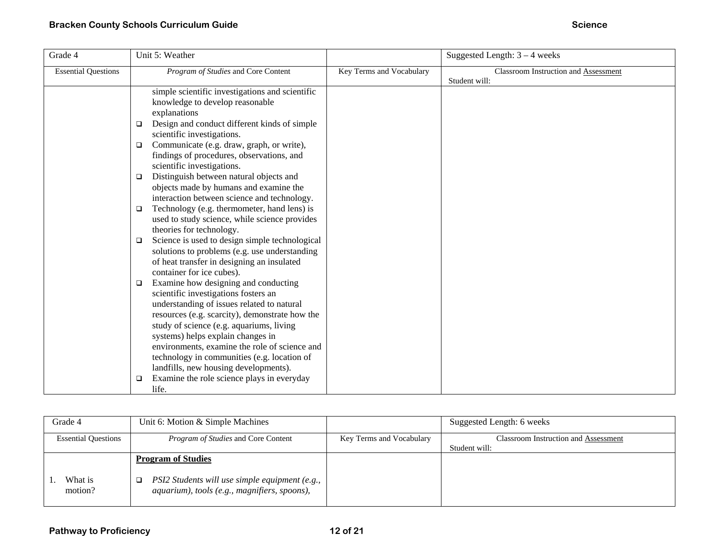| Grade 4                    | Unit 5: Weather                                                                                                                                                                                                                                                                                                                                                                                                                                                                                                                                                                                                                                                                                                                                                                                                                                                                                                                                                                                                                                                           |                          | Suggested Length: $3 - 4$ weeks      |
|----------------------------|---------------------------------------------------------------------------------------------------------------------------------------------------------------------------------------------------------------------------------------------------------------------------------------------------------------------------------------------------------------------------------------------------------------------------------------------------------------------------------------------------------------------------------------------------------------------------------------------------------------------------------------------------------------------------------------------------------------------------------------------------------------------------------------------------------------------------------------------------------------------------------------------------------------------------------------------------------------------------------------------------------------------------------------------------------------------------|--------------------------|--------------------------------------|
| <b>Essential Questions</b> | Program of Studies and Core Content                                                                                                                                                                                                                                                                                                                                                                                                                                                                                                                                                                                                                                                                                                                                                                                                                                                                                                                                                                                                                                       | Key Terms and Vocabulary | Classroom Instruction and Assessment |
|                            | simple scientific investigations and scientific<br>knowledge to develop reasonable<br>explanations<br>Design and conduct different kinds of simple<br>$\Box$<br>scientific investigations.<br>Communicate (e.g. draw, graph, or write),<br>$\Box$<br>findings of procedures, observations, and<br>scientific investigations.<br>Distinguish between natural objects and<br>$\Box$<br>objects made by humans and examine the<br>interaction between science and technology.<br>Technology (e.g. thermometer, hand lens) is<br>❏<br>used to study science, while science provides<br>theories for technology.<br>Science is used to design simple technological<br>$\Box$<br>solutions to problems (e.g. use understanding<br>of heat transfer in designing an insulated<br>container for ice cubes).<br>Examine how designing and conducting<br>□<br>scientific investigations fosters an<br>understanding of issues related to natural<br>resources (e.g. scarcity), demonstrate how the<br>study of science (e.g. aquariums, living<br>systems) helps explain changes in |                          | Student will:                        |
|                            | environments, examine the role of science and<br>technology in communities (e.g. location of<br>landfills, new housing developments).<br>Examine the role science plays in everyday<br>$\Box$                                                                                                                                                                                                                                                                                                                                                                                                                                                                                                                                                                                                                                                                                                                                                                                                                                                                             |                          |                                      |
|                            | life.                                                                                                                                                                                                                                                                                                                                                                                                                                                                                                                                                                                                                                                                                                                                                                                                                                                                                                                                                                                                                                                                     |                          |                                      |

| Grade 4                    | Unit 6: Motion & Simple Machines                                                               |                          | Suggested Length: 6 weeks                   |
|----------------------------|------------------------------------------------------------------------------------------------|--------------------------|---------------------------------------------|
| <b>Essential Questions</b> | <i>Program of Studies</i> and Core Content                                                     | Key Terms and Vocabulary | <b>Classroom Instruction and Assessment</b> |
|                            |                                                                                                |                          | Student will:                               |
|                            | <b>Program of Studies</b>                                                                      |                          |                                             |
| What is<br>motion?         | PSI2 Students will use simple equipment (e.g.,<br>aquarium), tools (e.g., magnifiers, spoons), |                          |                                             |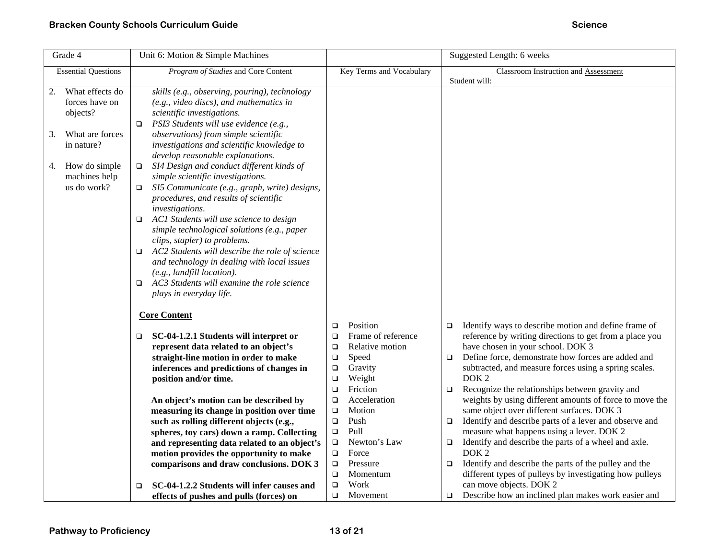| Grade 4                                                                                                                                           | Unit 6: Motion & Simple Machines                                                                                                                                                                                                                                                                                                                                                                                                                                                                                                                                                                                                                                                                                                                                                                                                                                                 |                                                                                                                                                                                                                                                                                                                                                                                      | Suggested Length: 6 weeks                                                                                                                                                                                                                                                                                                                                                                                                                                                                                                                                                                                                                                                                                                                                                                                                                                                                                          |
|---------------------------------------------------------------------------------------------------------------------------------------------------|----------------------------------------------------------------------------------------------------------------------------------------------------------------------------------------------------------------------------------------------------------------------------------------------------------------------------------------------------------------------------------------------------------------------------------------------------------------------------------------------------------------------------------------------------------------------------------------------------------------------------------------------------------------------------------------------------------------------------------------------------------------------------------------------------------------------------------------------------------------------------------|--------------------------------------------------------------------------------------------------------------------------------------------------------------------------------------------------------------------------------------------------------------------------------------------------------------------------------------------------------------------------------------|--------------------------------------------------------------------------------------------------------------------------------------------------------------------------------------------------------------------------------------------------------------------------------------------------------------------------------------------------------------------------------------------------------------------------------------------------------------------------------------------------------------------------------------------------------------------------------------------------------------------------------------------------------------------------------------------------------------------------------------------------------------------------------------------------------------------------------------------------------------------------------------------------------------------|
| <b>Essential Questions</b>                                                                                                                        | Program of Studies and Core Content                                                                                                                                                                                                                                                                                                                                                                                                                                                                                                                                                                                                                                                                                                                                                                                                                                              | Key Terms and Vocabulary                                                                                                                                                                                                                                                                                                                                                             | Classroom Instruction and Assessment                                                                                                                                                                                                                                                                                                                                                                                                                                                                                                                                                                                                                                                                                                                                                                                                                                                                               |
| What effects do<br>2.<br>forces have on<br>objects?<br>What are forces<br>3.<br>in nature?<br>How do simple<br>4.<br>machines help<br>us do work? | skills (e.g., observing, pouring), technology<br>$(e.g., video discs), and mathematics in$<br>scientific investigations.<br>PSI3 Students will use evidence (e.g.,<br>o.<br>observations) from simple scientific<br>investigations and scientific knowledge to<br>develop reasonable explanations.<br>SI4 Design and conduct different kinds of<br>$\Box$<br>simple scientific investigations.<br>SI5 Communicate (e.g., graph, write) designs,<br>o.<br>procedures, and results of scientific<br>investigations.<br>$\Box$ AC1 Students will use science to design<br>simple technological solutions (e.g., paper<br>clips, stapler) to problems.<br>AC2 Students will describe the role of science<br>□<br>and technology in dealing with local issues<br>$(e.g., \textit{landfill location}).$<br>AC3 Students will examine the role science<br>o.<br>plays in everyday life. |                                                                                                                                                                                                                                                                                                                                                                                      | Student will:                                                                                                                                                                                                                                                                                                                                                                                                                                                                                                                                                                                                                                                                                                                                                                                                                                                                                                      |
|                                                                                                                                                   | <b>Core Content</b><br>SC-04-1.2.1 Students will interpret or<br>o.<br>represent data related to an object's<br>straight-line motion in order to make<br>inferences and predictions of changes in<br>position and/or time.<br>An object's motion can be described by<br>measuring its change in position over time<br>such as rolling different objects (e.g.,<br>spheres, toy cars) down a ramp. Collecting<br>and representing data related to an object's<br>motion provides the opportunity to make<br>comparisons and draw conclusions. DOK 3<br>SC-04-1.2.2 Students will infer causes and<br>$\Box$<br>effects of pushes and pulls (forces) on                                                                                                                                                                                                                            | Position<br>$\Box$<br>Frame of reference<br>$\Box$<br>Relative motion<br>$\Box$<br>Speed<br>$\Box$<br>Gravity<br>$\Box$<br>Weight<br>$\Box$<br>$\Box$<br>Friction<br>Acceleration<br>$\Box$<br>Motion<br>$\Box$<br>$\Box$<br>Push<br>Pull<br>$\Box$<br>Newton's Law<br>$\Box$<br>Force<br>$\Box$<br>Pressure<br>$\Box$<br>$\Box$<br>Momentum<br>Work<br>$\Box$<br>$\Box$<br>Movement | Identify ways to describe motion and define frame of<br>$\Box$<br>reference by writing directions to get from a place you<br>have chosen in your school. DOK 3<br>Define force, demonstrate how forces are added and<br>$\Box$<br>subtracted, and measure forces using a spring scales.<br>DOK <sub>2</sub><br>Recognize the relationships between gravity and<br>$\Box$<br>weights by using different amounts of force to move the<br>same object over different surfaces. DOK 3<br>Identify and describe parts of a lever and observe and<br>$\Box$<br>measure what happens using a lever. DOK 2<br>Identify and describe the parts of a wheel and axle.<br>$\Box$<br>DOK <sub>2</sub><br>Identify and describe the parts of the pulley and the<br>$\Box$<br>different types of pulleys by investigating how pulleys<br>can move objects. DOK 2<br>Describe how an inclined plan makes work easier and<br>$\Box$ |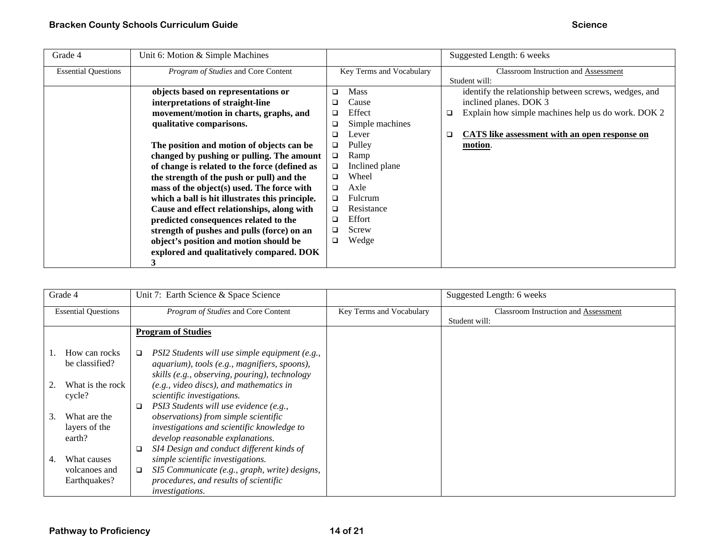| Grade 4                    | Unit 6: Motion & Simple Machines                |        |                          |        | Suggested Length: 6 weeks                             |
|----------------------------|-------------------------------------------------|--------|--------------------------|--------|-------------------------------------------------------|
| <b>Essential Questions</b> | Program of Studies and Core Content             |        | Key Terms and Vocabulary |        | <b>Classroom Instruction and Assessment</b>           |
|                            |                                                 |        |                          |        | Student will:                                         |
|                            | objects based on representations or             | □      | <b>Mass</b>              |        | identify the relationship between screws, wedges, and |
|                            | interpretations of straight-line                |        | Cause                    |        | inclined planes. DOK 3                                |
|                            | movement/motion in charts, graphs, and          | ❏      | Effect                   | $\Box$ | Explain how simple machines help us do work. DOK 2    |
|                            | qualitative comparisons.                        | ❏      | Simple machines          |        |                                                       |
|                            |                                                 | ❏      | Lever                    | □      | <b>CATS</b> like assessment with an open response on  |
|                            | The position and motion of objects can be       | ❏      | Pulley                   |        | motion.                                               |
|                            | changed by pushing or pulling. The amount       | $\Box$ | Ramp                     |        |                                                       |
|                            | of change is related to the force (defined as   | □      | Inclined plane           |        |                                                       |
|                            | the strength of the push or pull) and the       |        | Wheel                    |        |                                                       |
|                            | mass of the object(s) used. The force with      | ❏      | Axle                     |        |                                                       |
|                            | which a ball is hit illustrates this principle. | □      | Fulcrum                  |        |                                                       |
|                            | Cause and effect relationships, along with      | ❏      | Resistance               |        |                                                       |
|                            | predicted consequences related to the           | ❏      | Effort                   |        |                                                       |
|                            | strength of pushes and pulls (force) on an      |        | Screw                    |        |                                                       |
|                            | object's position and motion should be          | ❏      | Wedge                    |        |                                                       |
|                            | explored and qualitatively compared. DOK        |        |                          |        |                                                       |
|                            | 3                                               |        |                          |        |                                                       |

| Grade 4                    |                                         | Unit 7: Earth Science & Space Science                                                                                                                               |                          | Suggested Length: 6 weeks                                    |
|----------------------------|-----------------------------------------|---------------------------------------------------------------------------------------------------------------------------------------------------------------------|--------------------------|--------------------------------------------------------------|
| <b>Essential Questions</b> |                                         | Program of Studies and Core Content                                                                                                                                 | Key Terms and Vocabulary | <b>Classroom Instruction and Assessment</b><br>Student will: |
|                            |                                         | <b>Program of Studies</b>                                                                                                                                           |                          |                                                              |
|                            | How can rocks<br>be classified?         | PSI2 Students will use simple equipment (e.g.,<br>□<br>aquarium), tools (e.g., magnifiers, spoons),<br>skills (e.g., observing, pouring), technology                |                          |                                                              |
|                            | What is the rock<br>cycle?              | (e.g., video discs), and mathematics in<br>scientific investigations.<br>PSI3 Students will use evidence (e.g.,                                                     |                          |                                                              |
| 3.                         | What are the<br>layers of the<br>earth? | observations) from simple scientific<br>investigations and scientific knowledge to<br>develop reasonable explanations.<br>SI4 Design and conduct different kinds of |                          |                                                              |
| 4.                         | What causes                             | simple scientific investigations.                                                                                                                                   |                          |                                                              |
|                            | volcanoes and<br>Earthquakes?           | SI5 Communicate (e.g., graph, write) designs,<br>□<br>procedures, and results of scientific<br><i>investigations.</i>                                               |                          |                                                              |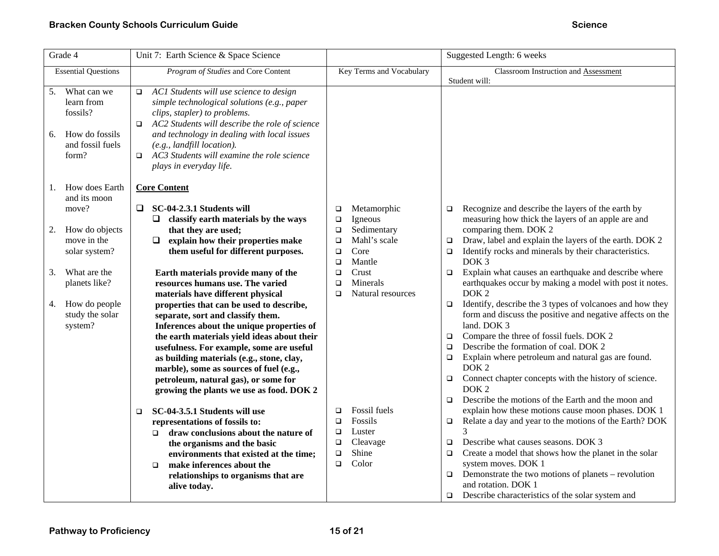| Grade 4                                                                                       | Unit 7: Earth Science & Space Science                                                                                                                                                                                                                                                                                                                                                                                                  |                                                                                                                             | Suggested Length: 6 weeks                                                                                                                                                                                                                                                                                                                                                                                                                                                                          |
|-----------------------------------------------------------------------------------------------|----------------------------------------------------------------------------------------------------------------------------------------------------------------------------------------------------------------------------------------------------------------------------------------------------------------------------------------------------------------------------------------------------------------------------------------|-----------------------------------------------------------------------------------------------------------------------------|----------------------------------------------------------------------------------------------------------------------------------------------------------------------------------------------------------------------------------------------------------------------------------------------------------------------------------------------------------------------------------------------------------------------------------------------------------------------------------------------------|
| <b>Essential Questions</b>                                                                    | Program of Studies and Core Content                                                                                                                                                                                                                                                                                                                                                                                                    | Key Terms and Vocabulary                                                                                                    | Classroom Instruction and Assessment<br>Student will:                                                                                                                                                                                                                                                                                                                                                                                                                                              |
| 5. What can we<br>learn from<br>fossils?<br>How do fossils<br>6.<br>and fossil fuels<br>form? | AC1 Students will use science to design<br>$\Box$<br>simple technological solutions (e.g., paper<br>clips, stapler) to problems.<br>AC2 Students will describe the role of science<br>$\Box$<br>and technology in dealing with local issues<br>$(e.g., \textit{landfill location}).$<br>AC3 Students will examine the role science<br>$\Box$<br>plays in everyday life.                                                                |                                                                                                                             |                                                                                                                                                                                                                                                                                                                                                                                                                                                                                                    |
| How does Earth<br>1.                                                                          | <b>Core Content</b>                                                                                                                                                                                                                                                                                                                                                                                                                    |                                                                                                                             |                                                                                                                                                                                                                                                                                                                                                                                                                                                                                                    |
| and its moon<br>move?                                                                         | SC-04-2.3.1 Students will<br>Q.<br>$\Box$ classify earth materials by the ways                                                                                                                                                                                                                                                                                                                                                         | Metamorphic<br>$\Box$<br>Igneous<br>$\Box$                                                                                  | Recognize and describe the layers of the earth by<br>$\Box$<br>measuring how thick the layers of an apple are and                                                                                                                                                                                                                                                                                                                                                                                  |
| How do objects<br>2.<br>move in the<br>solar system?                                          | that they are used;<br>explain how their properties make<br>$\Box$<br>them useful for different purposes.                                                                                                                                                                                                                                                                                                                              | Sedimentary<br>$\Box$<br>Mahl's scale<br>$\Box$<br>Core<br>$\Box$<br>Mantle<br>$\Box$                                       | comparing them. DOK 2<br>Draw, label and explain the layers of the earth. DOK 2<br>$\Box$<br>Identify rocks and minerals by their characteristics.<br>$\Box$<br>DOK <sub>3</sub>                                                                                                                                                                                                                                                                                                                   |
| What are the<br>3.<br>planets like?                                                           | Earth materials provide many of the<br>resources humans use. The varied                                                                                                                                                                                                                                                                                                                                                                | Crust<br>$\Box$<br>Minerals<br>$\Box$<br>Natural resources<br>$\Box$                                                        | Explain what causes an earthquake and describe where<br>$\Box$<br>earthquakes occur by making a model with post it notes.<br>DOK <sub>2</sub>                                                                                                                                                                                                                                                                                                                                                      |
| How do people<br>4.<br>study the solar<br>system?                                             | materials have different physical<br>properties that can be used to describe,<br>separate, sort and classify them.<br>Inferences about the unique properties of<br>the earth materials yield ideas about their<br>usefulness. For example, some are useful<br>as building materials (e.g., stone, clay,<br>marble), some as sources of fuel (e.g.,<br>petroleum, natural gas), or some for<br>growing the plants we use as food. DOK 2 |                                                                                                                             | Identify, describe the 3 types of volcanoes and how they<br>$\Box$<br>form and discuss the positive and negative affects on the<br>land. DOK 3<br>Compare the three of fossil fuels. DOK 2<br>$\Box$<br>Describe the formation of coal. DOK 2<br>$\Box$<br>Explain where petroleum and natural gas are found.<br>$\Box$<br>DOK <sub>2</sub><br>Connect chapter concepts with the history of science.<br>$\Box$<br>DOK <sub>2</sub><br>Describe the motions of the Earth and the moon and<br>$\Box$ |
|                                                                                               | SC-04-3.5.1 Students will use<br>$\Box$<br>representations of fossils to:<br>draw conclusions about the nature of<br>$\Box$<br>the organisms and the basic<br>environments that existed at the time;<br>make inferences about the<br>$\Box$<br>relationships to organisms that are                                                                                                                                                     | Fossil fuels<br>$\Box$<br>Fossils<br>$\Box$<br>Luster<br>$\Box$<br>Cleavage<br>$\Box$<br>Shine<br>$\Box$<br>Color<br>$\Box$ | explain how these motions cause moon phases. DOK 1<br>Relate a day and year to the motions of the Earth? DOK<br>$\Box$<br>3<br>Describe what causes seasons. DOK 3<br>$\Box$<br>Create a model that shows how the planet in the solar<br>$\Box$<br>system moves. DOK 1<br>Demonstrate the two motions of planets - revolution<br>$\Box$<br>and rotation. DOK 1                                                                                                                                     |
|                                                                                               | alive today.                                                                                                                                                                                                                                                                                                                                                                                                                           |                                                                                                                             | Describe characteristics of the solar system and<br>$\Box$                                                                                                                                                                                                                                                                                                                                                                                                                                         |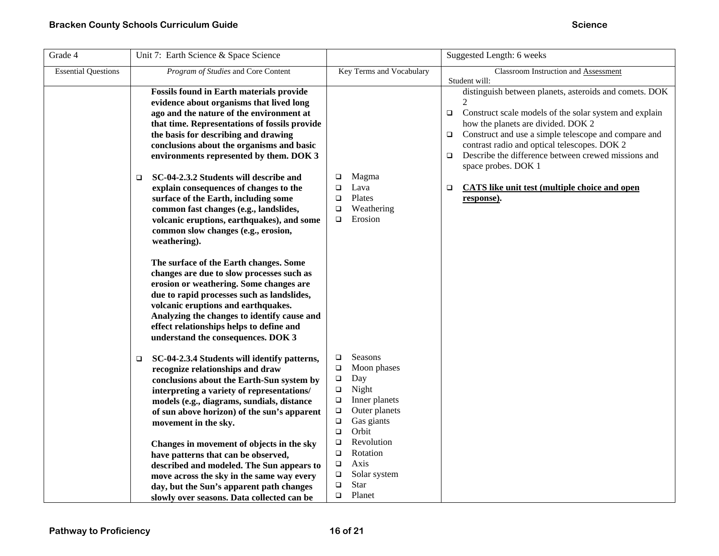| Grade 4                    | Unit 7: Earth Science & Space Science                                                                                                                                                                                                                                                                                                                                                                                                                                                                                                                                                                                                                                                                                                                                                         |                                                                                                                                                                                                                                                                                                                   | Suggested Length: 6 weeks                                                                                                                                                                                                                                                                                                                                                                                                                                  |
|----------------------------|-----------------------------------------------------------------------------------------------------------------------------------------------------------------------------------------------------------------------------------------------------------------------------------------------------------------------------------------------------------------------------------------------------------------------------------------------------------------------------------------------------------------------------------------------------------------------------------------------------------------------------------------------------------------------------------------------------------------------------------------------------------------------------------------------|-------------------------------------------------------------------------------------------------------------------------------------------------------------------------------------------------------------------------------------------------------------------------------------------------------------------|------------------------------------------------------------------------------------------------------------------------------------------------------------------------------------------------------------------------------------------------------------------------------------------------------------------------------------------------------------------------------------------------------------------------------------------------------------|
| <b>Essential Questions</b> | Program of Studies and Core Content                                                                                                                                                                                                                                                                                                                                                                                                                                                                                                                                                                                                                                                                                                                                                           | Key Terms and Vocabulary                                                                                                                                                                                                                                                                                          | Classroom Instruction and Assessment<br>Student will:                                                                                                                                                                                                                                                                                                                                                                                                      |
|                            | <b>Fossils found in Earth materials provide</b><br>evidence about organisms that lived long<br>ago and the nature of the environment at<br>that time. Representations of fossils provide<br>the basis for describing and drawing<br>conclusions about the organisms and basic<br>environments represented by them. DOK 3<br>SC-04-2.3.2 Students will describe and<br>$\Box$<br>explain consequences of changes to the<br>surface of the Earth, including some<br>common fast changes (e.g., landslides,<br>volcanic eruptions, earthquakes), and some<br>common slow changes (e.g., erosion,<br>weathering).<br>The surface of the Earth changes. Some<br>changes are due to slow processes such as<br>erosion or weathering. Some changes are<br>due to rapid processes such as landslides, | Magma<br>$\Box$<br>Lava<br>$\Box$<br>Plates<br>$\Box$<br>Weathering<br>$\Box$<br>Erosion<br>$\Box$                                                                                                                                                                                                                | distinguish between planets, asteroids and comets. DOK<br>Construct scale models of the solar system and explain<br>$\Box$<br>how the planets are divided. DOK 2<br>Construct and use a simple telescope and compare and<br>$\Box$<br>contrast radio and optical telescopes. DOK 2<br>Describe the difference between crewed missions and<br>$\Box$<br>space probes. DOK 1<br><b>CATS</b> like unit test (multiple choice and open<br>$\Box$<br>response). |
|                            | volcanic eruptions and earthquakes.<br>Analyzing the changes to identify cause and<br>effect relationships helps to define and<br>understand the consequences. DOK 3<br>SC-04-2.3.4 Students will identify patterns,<br>$\Box$<br>recognize relationships and draw<br>conclusions about the Earth-Sun system by<br>interpreting a variety of representations/<br>models (e.g., diagrams, sundials, distance<br>of sun above horizon) of the sun's apparent<br>movement in the sky.<br>Changes in movement of objects in the sky<br>have patterns that can be observed,<br>described and modeled. The Sun appears to<br>move across the sky in the same way every<br>day, but the Sun's apparent path changes<br>slowly over seasons. Data collected can be                                    | <b>Seasons</b><br>$\Box$<br>Moon phases<br>$\Box$<br>$\Box$<br>Day<br>Night<br>$\Box$<br>Inner planets<br>$\Box$<br>Outer planets<br>$\Box$<br>Gas giants<br>$\Box$<br>Orbit<br>$\Box$<br>Revolution<br>$\Box$<br>Rotation<br>▫<br>Axis<br>$\Box$<br>Solar system<br>$\Box$<br>Star<br>$\Box$<br>Planet<br>$\Box$ |                                                                                                                                                                                                                                                                                                                                                                                                                                                            |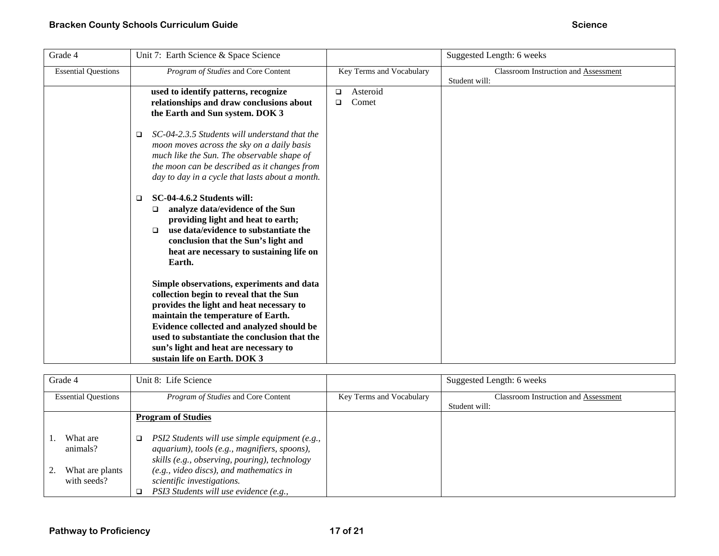| Grade 4                    | Unit 7: Earth Science & Space Science                                                                                                                                                                                                                                                                                                        |                                       | Suggested Length: 6 weeks                                    |
|----------------------------|----------------------------------------------------------------------------------------------------------------------------------------------------------------------------------------------------------------------------------------------------------------------------------------------------------------------------------------------|---------------------------------------|--------------------------------------------------------------|
| <b>Essential Questions</b> | Program of Studies and Core Content                                                                                                                                                                                                                                                                                                          | Key Terms and Vocabulary              | <b>Classroom Instruction and Assessment</b><br>Student will: |
|                            | used to identify patterns, recognize<br>relationships and draw conclusions about<br>the Earth and Sun system. DOK 3                                                                                                                                                                                                                          | Asteroid<br>$\Box$<br>Comet<br>$\Box$ |                                                              |
|                            | SC-04-2.3.5 Students will understand that the<br>□<br>moon moves across the sky on a daily basis<br>much like the Sun. The observable shape of<br>the moon can be described as it changes from<br>day to day in a cycle that lasts about a month.                                                                                            |                                       |                                                              |
|                            | <b>SC-04-4.6.2 Students will:</b><br>$\Box$<br>analyze data/evidence of the Sun<br>□<br>providing light and heat to earth;<br>use data/evidence to substantiate the<br>◻<br>conclusion that the Sun's light and<br>heat are necessary to sustaining life on<br>Earth.                                                                        |                                       |                                                              |
|                            | Simple observations, experiments and data<br>collection begin to reveal that the Sun<br>provides the light and heat necessary to<br>maintain the temperature of Earth.<br>Evidence collected and analyzed should be<br>used to substantiate the conclusion that the<br>sun's light and heat are necessary to<br>sustain life on Earth. DOK 3 |                                       |                                                              |

| Grade 4                                                | Unit 8: Life Science                                                                                                                                                                                                                                                           |                          | Suggested Length: 6 weeks                   |
|--------------------------------------------------------|--------------------------------------------------------------------------------------------------------------------------------------------------------------------------------------------------------------------------------------------------------------------------------|--------------------------|---------------------------------------------|
| <b>Essential Questions</b>                             | <i>Program of Studies</i> and Core Content                                                                                                                                                                                                                                     | Key Terms and Vocabulary | <b>Classroom Instruction and Assessment</b> |
|                                                        |                                                                                                                                                                                                                                                                                |                          | Student will:                               |
|                                                        | <b>Program of Studies</b>                                                                                                                                                                                                                                                      |                          |                                             |
| What are<br>animals?<br>What are plants<br>with seeds? | PSI2 Students will use simple equipment (e.g.,<br>$\Box$<br>aquarium), tools (e.g., magnifiers, spoons),<br>skills (e.g., observing, pouring), technology<br>$(e.g., video discs), and mathematics in$<br>scientific investigations.<br>PSI3 Students will use evidence (e.g., |                          |                                             |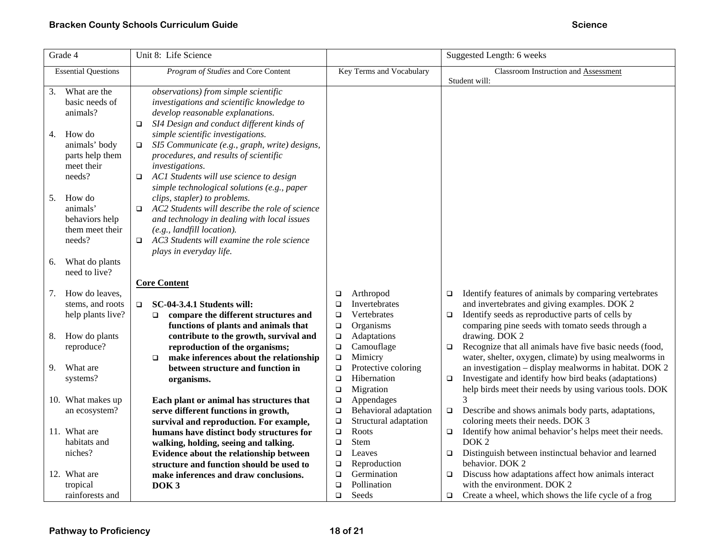| Grade 4                    | Unit 8: Life Science                                     |                                              | Suggested Length: 6 weeks                                                                                                  |
|----------------------------|----------------------------------------------------------|----------------------------------------------|----------------------------------------------------------------------------------------------------------------------------|
| <b>Essential Questions</b> | Program of Studies and Core Content                      | Key Terms and Vocabulary                     | Classroom Instruction and Assessment                                                                                       |
|                            |                                                          |                                              | Student will:                                                                                                              |
| What are the<br>3.         | observations) from simple scientific                     |                                              |                                                                                                                            |
| basic needs of             | investigations and scientific knowledge to               |                                              |                                                                                                                            |
| animals?                   | develop reasonable explanations.                         |                                              |                                                                                                                            |
|                            | SI4 Design and conduct different kinds of<br>$\Box$      |                                              |                                                                                                                            |
| How do<br>4.               | simple scientific investigations.                        |                                              |                                                                                                                            |
| animals' body              | SI5 Communicate (e.g., graph, write) designs,<br>$\Box$  |                                              |                                                                                                                            |
| parts help them            | procedures, and results of scientific                    |                                              |                                                                                                                            |
| meet their                 | investigations.                                          |                                              |                                                                                                                            |
| needs?                     | AC1 Students will use science to design<br>$\Box$        |                                              |                                                                                                                            |
|                            | simple technological solutions (e.g., paper              |                                              |                                                                                                                            |
| 5.<br>How do               | clips, stapler) to problems.                             |                                              |                                                                                                                            |
| animals'                   | AC2 Students will describe the role of science<br>$\Box$ |                                              |                                                                                                                            |
| behaviors help             | and technology in dealing with local issues              |                                              |                                                                                                                            |
| them meet their            | $(e.g., \textit{landfill location}).$                    |                                              |                                                                                                                            |
| needs?                     | AC3 Students will examine the role science<br>$\Box$     |                                              |                                                                                                                            |
|                            | plays in everyday life.                                  |                                              |                                                                                                                            |
| What do plants<br>6.       |                                                          |                                              |                                                                                                                            |
| need to live?              |                                                          |                                              |                                                                                                                            |
|                            | <b>Core Content</b>                                      |                                              |                                                                                                                            |
| How do leaves,<br>7.       |                                                          | Arthropod<br>$\Box$                          | Identify features of animals by comparing vertebrates<br>$\Box$                                                            |
| stems, and roots           | SC-04-3.4.1 Students will:<br>$\Box$                     | Invertebrates<br>$\Box$                      | and invertebrates and giving examples. DOK 2                                                                               |
| help plants live?          | compare the different structures and<br>$\Box$           | Vertebrates<br>$\Box$                        | Identify seeds as reproductive parts of cells by<br>$\Box$                                                                 |
|                            | functions of plants and animals that                     | Organisms<br>$\Box$                          | comparing pine seeds with tomato seeds through a                                                                           |
| How do plants<br>8.        | contribute to the growth, survival and                   | Adaptations<br>$\Box$                        | drawing. DOK 2                                                                                                             |
| reproduce?                 | reproduction of the organisms;                           | Camouflage<br>$\Box$                         | Recognize that all animals have five basic needs (food,<br>$\Box$                                                          |
|                            | make inferences about the relationship<br>$\Box$         | Mimicry<br>$\Box$                            | water, shelter, oxygen, climate) by using mealworms in<br>an investigation - display mealworms in habitat. DOK 2           |
| What are<br>9.             | between structure and function in                        | Protective coloring<br>$\Box$<br>Hibernation |                                                                                                                            |
| systems?                   | organisms.                                               | $\Box$<br>Migration<br>$\Box$                | Investigate and identify how bird beaks (adaptations)<br>$\Box$<br>help birds meet their needs by using various tools. DOK |
| 10. What makes up          | Each plant or animal has structures that                 | Appendages<br>$\Box$                         | 3                                                                                                                          |
| an ecosystem?              | serve different functions in growth,                     | Behavioral adaptation<br>$\Box$              | Describe and shows animals body parts, adaptations,<br>$\Box$                                                              |
|                            | survival and reproduction. For example,                  | Structural adaptation<br>$\Box$              | coloring meets their needs. DOK 3                                                                                          |
| 11. What are               | humans have distinct body structures for                 | Roots<br>$\Box$                              | Identify how animal behavior's helps meet their needs.<br>$\Box$                                                           |
| habitats and               | walking, holding, seeing and talking.                    | <b>Stem</b><br>$\Box$                        | DOK <sub>2</sub>                                                                                                           |
| niches?                    | Evidence about the relationship between                  | Leaves<br>$\Box$                             | Distinguish between instinctual behavior and learned<br>$\Box$                                                             |
|                            | structure and function should be used to                 | Reproduction<br>$\Box$                       | behavior. DOK 2                                                                                                            |
| 12. What are               | make inferences and draw conclusions.                    | Germination<br>$\Box$                        | Discuss how adaptations affect how animals interact<br>$\Box$                                                              |
| tropical                   | DOK <sub>3</sub>                                         | Pollination<br>$\Box$                        | with the environment. DOK 2                                                                                                |
| rainforests and            |                                                          | Seeds<br>$\Box$                              | Create a wheel, which shows the life cycle of a frog<br>$\Box$                                                             |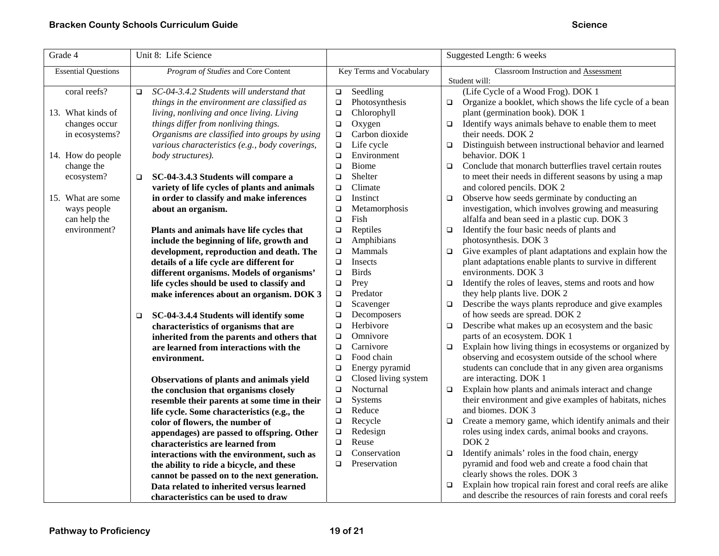| Program of Studies and Core Content<br>Key Terms and Vocabulary<br>Classroom Instruction and Assessment<br><b>Essential Questions</b><br>Student will:<br>SC-04-3.4.2 Students will understand that<br>(Life Cycle of a Wood Frog). DOK 1<br>coral reefs?<br>Seedling<br>$\Box$<br>$\Box$<br>Organize a booklet, which shows the life cycle of a bean<br>things in the environment are classified as<br>Photosynthesis<br>$\Box$<br>$\Box$<br>Chlorophyll<br>plant (germination book). DOK 1<br>13. What kinds of<br>living, nonliving and once living. Living<br>$\Box$<br>things differ from nonliving things.<br>changes occur<br>Oxygen<br>Identify ways animals behave to enable them to meet<br>$\Box$<br>$\Box$<br>Organisms are classified into groups by using<br>Carbon dioxide<br>their needs. DOK 2<br>in ecosystems?<br>$\Box$<br>Life cycle<br>Distinguish between instructional behavior and learned<br>various characteristics (e.g., body coverings,<br>$\Box$<br>$\Box$<br>14. How do people<br>Environment<br>body structures).<br>behavior. DOK 1<br>$\Box$<br>Biome<br>Conclude that monarch butterflies travel certain routes<br>change the<br>$\Box$<br>$\Box$<br>Shelter<br>to meet their needs in different seasons by using a map<br>ecosystem?<br>SC-04-3.4.3 Students will compare a<br>$\Box$<br>$\Box$<br>variety of life cycles of plants and animals<br>Climate<br>and colored pencils. DOK 2<br>$\Box$<br>Observe how seeds germinate by conducting an<br>15. What are some<br>in order to classify and make inferences<br>Instinct<br>$\Box$<br>$\Box$<br>investigation, which involves growing and measuring<br>Metamorphosis<br>ways people<br>about an organism.<br>$\Box$<br>Fish<br>alfalfa and bean seed in a plastic cup. DOK 3<br>can help the<br>$\Box$<br>Identify the four basic needs of plants and<br>environment?<br>Plants and animals have life cycles that<br>Reptiles<br>$\Box$<br>$\Box$<br>Amphibians<br>photosynthesis. DOK 3<br>include the beginning of life, growth and<br>$\Box$<br>Give examples of plant adaptations and explain how the<br>Mammals<br>$\Box$<br>development, reproduction and death. The<br>$\Box$<br>plant adaptations enable plants to survive in different<br>details of a life cycle are different for<br>Insects<br>$\Box$<br>environments. DOK 3<br><b>Birds</b><br>different organisms. Models of organisms'<br>$\Box$<br>Prey<br>Identify the roles of leaves, stems and roots and how<br>life cycles should be used to classify and<br>$\Box$<br>$\Box$<br>Predator<br>they help plants live. DOK 2<br>make inferences about an organism. DOK 3<br>$\Box$<br>Describe the ways plants reproduce and give examples<br>Scavenger<br>$\Box$<br>$\Box$<br>of how seeds are spread. DOK 2<br>Decomposers<br>SC-04-3.4.4 Students will identify some<br>$\Box$<br>$\Box$<br>Herbivore<br>Describe what makes up an ecosystem and the basic<br>characteristics of organisms that are<br>$\Box$<br>$\Box$<br>Omnivore<br>parts of an ecosystem. DOK 1<br>inherited from the parents and others that<br>$\Box$<br>Carnivore<br>Explain how living things in ecosystems or organized by<br>$\Box$<br>are learned from interactions with the<br>$\Box$<br>observing and ecosystem outside of the school where<br>Food chain<br>$\Box$<br>environment.<br>Energy pyramid<br>students can conclude that in any given area organisms<br>$\Box$<br>Closed living system<br>are interacting. DOK 1<br>Observations of plants and animals yield<br>$\Box$<br>Nocturnal<br>Explain how plants and animals interact and change<br>$\Box$<br>$\Box$<br>the conclusion that organisms closely<br>their environment and give examples of habitats, niches<br>Systems<br>$\Box$<br>resemble their parents at some time in their<br>Reduce<br>and biomes. DOK 3<br>$\Box$<br>life cycle. Some characteristics (e.g., the<br>Recycle<br>Create a memory game, which identify animals and their<br>$\Box$<br>$\Box$<br>color of flowers, the number of<br>Redesign<br>roles using index cards, animal books and crayons.<br>$\Box$<br>appendages) are passed to offspring. Other<br>Reuse<br>DOK <sub>2</sub><br>$\Box$<br>characteristics are learned from<br>Conservation<br>Identify animals' roles in the food chain, energy<br>$\Box$<br>$\Box$<br>interactions with the environment, such as<br>Preservation<br>pyramid and food web and create a food chain that<br>$\Box$<br>the ability to ride a bicycle, and these | Grade 4 | Unit 8: Life Science | Suggested Length: 6 weeks |
|--------------------------------------------------------------------------------------------------------------------------------------------------------------------------------------------------------------------------------------------------------------------------------------------------------------------------------------------------------------------------------------------------------------------------------------------------------------------------------------------------------------------------------------------------------------------------------------------------------------------------------------------------------------------------------------------------------------------------------------------------------------------------------------------------------------------------------------------------------------------------------------------------------------------------------------------------------------------------------------------------------------------------------------------------------------------------------------------------------------------------------------------------------------------------------------------------------------------------------------------------------------------------------------------------------------------------------------------------------------------------------------------------------------------------------------------------------------------------------------------------------------------------------------------------------------------------------------------------------------------------------------------------------------------------------------------------------------------------------------------------------------------------------------------------------------------------------------------------------------------------------------------------------------------------------------------------------------------------------------------------------------------------------------------------------------------------------------------------------------------------------------------------------------------------------------------------------------------------------------------------------------------------------------------------------------------------------------------------------------------------------------------------------------------------------------------------------------------------------------------------------------------------------------------------------------------------------------------------------------------------------------------------------------------------------------------------------------------------------------------------------------------------------------------------------------------------------------------------------------------------------------------------------------------------------------------------------------------------------------------------------------------------------------------------------------------------------------------------------------------------------------------------------------------------------------------------------------------------------------------------------------------------------------------------------------------------------------------------------------------------------------------------------------------------------------------------------------------------------------------------------------------------------------------------------------------------------------------------------------------------------------------------------------------------------------------------------------------------------------------------------------------------------------------------------------------------------------------------------------------------------------------------------------------------------------------------------------------------------------------------------------------------------------------------------------------------------------------------------------------------------------------------------------------------------------------------------------------------------------------------------------------------------------------------------------------------------------------------------------------------------------------------------------------------------------------------------------------------------------------|---------|----------------------|---------------------------|
|                                                                                                                                                                                                                                                                                                                                                                                                                                                                                                                                                                                                                                                                                                                                                                                                                                                                                                                                                                                                                                                                                                                                                                                                                                                                                                                                                                                                                                                                                                                                                                                                                                                                                                                                                                                                                                                                                                                                                                                                                                                                                                                                                                                                                                                                                                                                                                                                                                                                                                                                                                                                                                                                                                                                                                                                                                                                                                                                                                                                                                                                                                                                                                                                                                                                                                                                                                                                                                                                                                                                                                                                                                                                                                                                                                                                                                                                                                                                                                                                                                                                                                                                                                                                                                                                                                                                                                                                                                                                                            |         |                      |                           |
|                                                                                                                                                                                                                                                                                                                                                                                                                                                                                                                                                                                                                                                                                                                                                                                                                                                                                                                                                                                                                                                                                                                                                                                                                                                                                                                                                                                                                                                                                                                                                                                                                                                                                                                                                                                                                                                                                                                                                                                                                                                                                                                                                                                                                                                                                                                                                                                                                                                                                                                                                                                                                                                                                                                                                                                                                                                                                                                                                                                                                                                                                                                                                                                                                                                                                                                                                                                                                                                                                                                                                                                                                                                                                                                                                                                                                                                                                                                                                                                                                                                                                                                                                                                                                                                                                                                                                                                                                                                                                            |         |                      |                           |
|                                                                                                                                                                                                                                                                                                                                                                                                                                                                                                                                                                                                                                                                                                                                                                                                                                                                                                                                                                                                                                                                                                                                                                                                                                                                                                                                                                                                                                                                                                                                                                                                                                                                                                                                                                                                                                                                                                                                                                                                                                                                                                                                                                                                                                                                                                                                                                                                                                                                                                                                                                                                                                                                                                                                                                                                                                                                                                                                                                                                                                                                                                                                                                                                                                                                                                                                                                                                                                                                                                                                                                                                                                                                                                                                                                                                                                                                                                                                                                                                                                                                                                                                                                                                                                                                                                                                                                                                                                                                                            |         |                      |                           |
|                                                                                                                                                                                                                                                                                                                                                                                                                                                                                                                                                                                                                                                                                                                                                                                                                                                                                                                                                                                                                                                                                                                                                                                                                                                                                                                                                                                                                                                                                                                                                                                                                                                                                                                                                                                                                                                                                                                                                                                                                                                                                                                                                                                                                                                                                                                                                                                                                                                                                                                                                                                                                                                                                                                                                                                                                                                                                                                                                                                                                                                                                                                                                                                                                                                                                                                                                                                                                                                                                                                                                                                                                                                                                                                                                                                                                                                                                                                                                                                                                                                                                                                                                                                                                                                                                                                                                                                                                                                                                            |         |                      |                           |
|                                                                                                                                                                                                                                                                                                                                                                                                                                                                                                                                                                                                                                                                                                                                                                                                                                                                                                                                                                                                                                                                                                                                                                                                                                                                                                                                                                                                                                                                                                                                                                                                                                                                                                                                                                                                                                                                                                                                                                                                                                                                                                                                                                                                                                                                                                                                                                                                                                                                                                                                                                                                                                                                                                                                                                                                                                                                                                                                                                                                                                                                                                                                                                                                                                                                                                                                                                                                                                                                                                                                                                                                                                                                                                                                                                                                                                                                                                                                                                                                                                                                                                                                                                                                                                                                                                                                                                                                                                                                                            |         |                      |                           |
|                                                                                                                                                                                                                                                                                                                                                                                                                                                                                                                                                                                                                                                                                                                                                                                                                                                                                                                                                                                                                                                                                                                                                                                                                                                                                                                                                                                                                                                                                                                                                                                                                                                                                                                                                                                                                                                                                                                                                                                                                                                                                                                                                                                                                                                                                                                                                                                                                                                                                                                                                                                                                                                                                                                                                                                                                                                                                                                                                                                                                                                                                                                                                                                                                                                                                                                                                                                                                                                                                                                                                                                                                                                                                                                                                                                                                                                                                                                                                                                                                                                                                                                                                                                                                                                                                                                                                                                                                                                                                            |         |                      |                           |
|                                                                                                                                                                                                                                                                                                                                                                                                                                                                                                                                                                                                                                                                                                                                                                                                                                                                                                                                                                                                                                                                                                                                                                                                                                                                                                                                                                                                                                                                                                                                                                                                                                                                                                                                                                                                                                                                                                                                                                                                                                                                                                                                                                                                                                                                                                                                                                                                                                                                                                                                                                                                                                                                                                                                                                                                                                                                                                                                                                                                                                                                                                                                                                                                                                                                                                                                                                                                                                                                                                                                                                                                                                                                                                                                                                                                                                                                                                                                                                                                                                                                                                                                                                                                                                                                                                                                                                                                                                                                                            |         |                      |                           |
|                                                                                                                                                                                                                                                                                                                                                                                                                                                                                                                                                                                                                                                                                                                                                                                                                                                                                                                                                                                                                                                                                                                                                                                                                                                                                                                                                                                                                                                                                                                                                                                                                                                                                                                                                                                                                                                                                                                                                                                                                                                                                                                                                                                                                                                                                                                                                                                                                                                                                                                                                                                                                                                                                                                                                                                                                                                                                                                                                                                                                                                                                                                                                                                                                                                                                                                                                                                                                                                                                                                                                                                                                                                                                                                                                                                                                                                                                                                                                                                                                                                                                                                                                                                                                                                                                                                                                                                                                                                                                            |         |                      |                           |
|                                                                                                                                                                                                                                                                                                                                                                                                                                                                                                                                                                                                                                                                                                                                                                                                                                                                                                                                                                                                                                                                                                                                                                                                                                                                                                                                                                                                                                                                                                                                                                                                                                                                                                                                                                                                                                                                                                                                                                                                                                                                                                                                                                                                                                                                                                                                                                                                                                                                                                                                                                                                                                                                                                                                                                                                                                                                                                                                                                                                                                                                                                                                                                                                                                                                                                                                                                                                                                                                                                                                                                                                                                                                                                                                                                                                                                                                                                                                                                                                                                                                                                                                                                                                                                                                                                                                                                                                                                                                                            |         |                      |                           |
|                                                                                                                                                                                                                                                                                                                                                                                                                                                                                                                                                                                                                                                                                                                                                                                                                                                                                                                                                                                                                                                                                                                                                                                                                                                                                                                                                                                                                                                                                                                                                                                                                                                                                                                                                                                                                                                                                                                                                                                                                                                                                                                                                                                                                                                                                                                                                                                                                                                                                                                                                                                                                                                                                                                                                                                                                                                                                                                                                                                                                                                                                                                                                                                                                                                                                                                                                                                                                                                                                                                                                                                                                                                                                                                                                                                                                                                                                                                                                                                                                                                                                                                                                                                                                                                                                                                                                                                                                                                                                            |         |                      |                           |
|                                                                                                                                                                                                                                                                                                                                                                                                                                                                                                                                                                                                                                                                                                                                                                                                                                                                                                                                                                                                                                                                                                                                                                                                                                                                                                                                                                                                                                                                                                                                                                                                                                                                                                                                                                                                                                                                                                                                                                                                                                                                                                                                                                                                                                                                                                                                                                                                                                                                                                                                                                                                                                                                                                                                                                                                                                                                                                                                                                                                                                                                                                                                                                                                                                                                                                                                                                                                                                                                                                                                                                                                                                                                                                                                                                                                                                                                                                                                                                                                                                                                                                                                                                                                                                                                                                                                                                                                                                                                                            |         |                      |                           |
|                                                                                                                                                                                                                                                                                                                                                                                                                                                                                                                                                                                                                                                                                                                                                                                                                                                                                                                                                                                                                                                                                                                                                                                                                                                                                                                                                                                                                                                                                                                                                                                                                                                                                                                                                                                                                                                                                                                                                                                                                                                                                                                                                                                                                                                                                                                                                                                                                                                                                                                                                                                                                                                                                                                                                                                                                                                                                                                                                                                                                                                                                                                                                                                                                                                                                                                                                                                                                                                                                                                                                                                                                                                                                                                                                                                                                                                                                                                                                                                                                                                                                                                                                                                                                                                                                                                                                                                                                                                                                            |         |                      |                           |
|                                                                                                                                                                                                                                                                                                                                                                                                                                                                                                                                                                                                                                                                                                                                                                                                                                                                                                                                                                                                                                                                                                                                                                                                                                                                                                                                                                                                                                                                                                                                                                                                                                                                                                                                                                                                                                                                                                                                                                                                                                                                                                                                                                                                                                                                                                                                                                                                                                                                                                                                                                                                                                                                                                                                                                                                                                                                                                                                                                                                                                                                                                                                                                                                                                                                                                                                                                                                                                                                                                                                                                                                                                                                                                                                                                                                                                                                                                                                                                                                                                                                                                                                                                                                                                                                                                                                                                                                                                                                                            |         |                      |                           |
|                                                                                                                                                                                                                                                                                                                                                                                                                                                                                                                                                                                                                                                                                                                                                                                                                                                                                                                                                                                                                                                                                                                                                                                                                                                                                                                                                                                                                                                                                                                                                                                                                                                                                                                                                                                                                                                                                                                                                                                                                                                                                                                                                                                                                                                                                                                                                                                                                                                                                                                                                                                                                                                                                                                                                                                                                                                                                                                                                                                                                                                                                                                                                                                                                                                                                                                                                                                                                                                                                                                                                                                                                                                                                                                                                                                                                                                                                                                                                                                                                                                                                                                                                                                                                                                                                                                                                                                                                                                                                            |         |                      |                           |
|                                                                                                                                                                                                                                                                                                                                                                                                                                                                                                                                                                                                                                                                                                                                                                                                                                                                                                                                                                                                                                                                                                                                                                                                                                                                                                                                                                                                                                                                                                                                                                                                                                                                                                                                                                                                                                                                                                                                                                                                                                                                                                                                                                                                                                                                                                                                                                                                                                                                                                                                                                                                                                                                                                                                                                                                                                                                                                                                                                                                                                                                                                                                                                                                                                                                                                                                                                                                                                                                                                                                                                                                                                                                                                                                                                                                                                                                                                                                                                                                                                                                                                                                                                                                                                                                                                                                                                                                                                                                                            |         |                      |                           |
|                                                                                                                                                                                                                                                                                                                                                                                                                                                                                                                                                                                                                                                                                                                                                                                                                                                                                                                                                                                                                                                                                                                                                                                                                                                                                                                                                                                                                                                                                                                                                                                                                                                                                                                                                                                                                                                                                                                                                                                                                                                                                                                                                                                                                                                                                                                                                                                                                                                                                                                                                                                                                                                                                                                                                                                                                                                                                                                                                                                                                                                                                                                                                                                                                                                                                                                                                                                                                                                                                                                                                                                                                                                                                                                                                                                                                                                                                                                                                                                                                                                                                                                                                                                                                                                                                                                                                                                                                                                                                            |         |                      |                           |
|                                                                                                                                                                                                                                                                                                                                                                                                                                                                                                                                                                                                                                                                                                                                                                                                                                                                                                                                                                                                                                                                                                                                                                                                                                                                                                                                                                                                                                                                                                                                                                                                                                                                                                                                                                                                                                                                                                                                                                                                                                                                                                                                                                                                                                                                                                                                                                                                                                                                                                                                                                                                                                                                                                                                                                                                                                                                                                                                                                                                                                                                                                                                                                                                                                                                                                                                                                                                                                                                                                                                                                                                                                                                                                                                                                                                                                                                                                                                                                                                                                                                                                                                                                                                                                                                                                                                                                                                                                                                                            |         |                      |                           |
|                                                                                                                                                                                                                                                                                                                                                                                                                                                                                                                                                                                                                                                                                                                                                                                                                                                                                                                                                                                                                                                                                                                                                                                                                                                                                                                                                                                                                                                                                                                                                                                                                                                                                                                                                                                                                                                                                                                                                                                                                                                                                                                                                                                                                                                                                                                                                                                                                                                                                                                                                                                                                                                                                                                                                                                                                                                                                                                                                                                                                                                                                                                                                                                                                                                                                                                                                                                                                                                                                                                                                                                                                                                                                                                                                                                                                                                                                                                                                                                                                                                                                                                                                                                                                                                                                                                                                                                                                                                                                            |         |                      |                           |
|                                                                                                                                                                                                                                                                                                                                                                                                                                                                                                                                                                                                                                                                                                                                                                                                                                                                                                                                                                                                                                                                                                                                                                                                                                                                                                                                                                                                                                                                                                                                                                                                                                                                                                                                                                                                                                                                                                                                                                                                                                                                                                                                                                                                                                                                                                                                                                                                                                                                                                                                                                                                                                                                                                                                                                                                                                                                                                                                                                                                                                                                                                                                                                                                                                                                                                                                                                                                                                                                                                                                                                                                                                                                                                                                                                                                                                                                                                                                                                                                                                                                                                                                                                                                                                                                                                                                                                                                                                                                                            |         |                      |                           |
|                                                                                                                                                                                                                                                                                                                                                                                                                                                                                                                                                                                                                                                                                                                                                                                                                                                                                                                                                                                                                                                                                                                                                                                                                                                                                                                                                                                                                                                                                                                                                                                                                                                                                                                                                                                                                                                                                                                                                                                                                                                                                                                                                                                                                                                                                                                                                                                                                                                                                                                                                                                                                                                                                                                                                                                                                                                                                                                                                                                                                                                                                                                                                                                                                                                                                                                                                                                                                                                                                                                                                                                                                                                                                                                                                                                                                                                                                                                                                                                                                                                                                                                                                                                                                                                                                                                                                                                                                                                                                            |         |                      |                           |
|                                                                                                                                                                                                                                                                                                                                                                                                                                                                                                                                                                                                                                                                                                                                                                                                                                                                                                                                                                                                                                                                                                                                                                                                                                                                                                                                                                                                                                                                                                                                                                                                                                                                                                                                                                                                                                                                                                                                                                                                                                                                                                                                                                                                                                                                                                                                                                                                                                                                                                                                                                                                                                                                                                                                                                                                                                                                                                                                                                                                                                                                                                                                                                                                                                                                                                                                                                                                                                                                                                                                                                                                                                                                                                                                                                                                                                                                                                                                                                                                                                                                                                                                                                                                                                                                                                                                                                                                                                                                                            |         |                      |                           |
|                                                                                                                                                                                                                                                                                                                                                                                                                                                                                                                                                                                                                                                                                                                                                                                                                                                                                                                                                                                                                                                                                                                                                                                                                                                                                                                                                                                                                                                                                                                                                                                                                                                                                                                                                                                                                                                                                                                                                                                                                                                                                                                                                                                                                                                                                                                                                                                                                                                                                                                                                                                                                                                                                                                                                                                                                                                                                                                                                                                                                                                                                                                                                                                                                                                                                                                                                                                                                                                                                                                                                                                                                                                                                                                                                                                                                                                                                                                                                                                                                                                                                                                                                                                                                                                                                                                                                                                                                                                                                            |         |                      |                           |
|                                                                                                                                                                                                                                                                                                                                                                                                                                                                                                                                                                                                                                                                                                                                                                                                                                                                                                                                                                                                                                                                                                                                                                                                                                                                                                                                                                                                                                                                                                                                                                                                                                                                                                                                                                                                                                                                                                                                                                                                                                                                                                                                                                                                                                                                                                                                                                                                                                                                                                                                                                                                                                                                                                                                                                                                                                                                                                                                                                                                                                                                                                                                                                                                                                                                                                                                                                                                                                                                                                                                                                                                                                                                                                                                                                                                                                                                                                                                                                                                                                                                                                                                                                                                                                                                                                                                                                                                                                                                                            |         |                      |                           |
|                                                                                                                                                                                                                                                                                                                                                                                                                                                                                                                                                                                                                                                                                                                                                                                                                                                                                                                                                                                                                                                                                                                                                                                                                                                                                                                                                                                                                                                                                                                                                                                                                                                                                                                                                                                                                                                                                                                                                                                                                                                                                                                                                                                                                                                                                                                                                                                                                                                                                                                                                                                                                                                                                                                                                                                                                                                                                                                                                                                                                                                                                                                                                                                                                                                                                                                                                                                                                                                                                                                                                                                                                                                                                                                                                                                                                                                                                                                                                                                                                                                                                                                                                                                                                                                                                                                                                                                                                                                                                            |         |                      |                           |
|                                                                                                                                                                                                                                                                                                                                                                                                                                                                                                                                                                                                                                                                                                                                                                                                                                                                                                                                                                                                                                                                                                                                                                                                                                                                                                                                                                                                                                                                                                                                                                                                                                                                                                                                                                                                                                                                                                                                                                                                                                                                                                                                                                                                                                                                                                                                                                                                                                                                                                                                                                                                                                                                                                                                                                                                                                                                                                                                                                                                                                                                                                                                                                                                                                                                                                                                                                                                                                                                                                                                                                                                                                                                                                                                                                                                                                                                                                                                                                                                                                                                                                                                                                                                                                                                                                                                                                                                                                                                                            |         |                      |                           |
|                                                                                                                                                                                                                                                                                                                                                                                                                                                                                                                                                                                                                                                                                                                                                                                                                                                                                                                                                                                                                                                                                                                                                                                                                                                                                                                                                                                                                                                                                                                                                                                                                                                                                                                                                                                                                                                                                                                                                                                                                                                                                                                                                                                                                                                                                                                                                                                                                                                                                                                                                                                                                                                                                                                                                                                                                                                                                                                                                                                                                                                                                                                                                                                                                                                                                                                                                                                                                                                                                                                                                                                                                                                                                                                                                                                                                                                                                                                                                                                                                                                                                                                                                                                                                                                                                                                                                                                                                                                                                            |         |                      |                           |
|                                                                                                                                                                                                                                                                                                                                                                                                                                                                                                                                                                                                                                                                                                                                                                                                                                                                                                                                                                                                                                                                                                                                                                                                                                                                                                                                                                                                                                                                                                                                                                                                                                                                                                                                                                                                                                                                                                                                                                                                                                                                                                                                                                                                                                                                                                                                                                                                                                                                                                                                                                                                                                                                                                                                                                                                                                                                                                                                                                                                                                                                                                                                                                                                                                                                                                                                                                                                                                                                                                                                                                                                                                                                                                                                                                                                                                                                                                                                                                                                                                                                                                                                                                                                                                                                                                                                                                                                                                                                                            |         |                      |                           |
|                                                                                                                                                                                                                                                                                                                                                                                                                                                                                                                                                                                                                                                                                                                                                                                                                                                                                                                                                                                                                                                                                                                                                                                                                                                                                                                                                                                                                                                                                                                                                                                                                                                                                                                                                                                                                                                                                                                                                                                                                                                                                                                                                                                                                                                                                                                                                                                                                                                                                                                                                                                                                                                                                                                                                                                                                                                                                                                                                                                                                                                                                                                                                                                                                                                                                                                                                                                                                                                                                                                                                                                                                                                                                                                                                                                                                                                                                                                                                                                                                                                                                                                                                                                                                                                                                                                                                                                                                                                                                            |         |                      |                           |
|                                                                                                                                                                                                                                                                                                                                                                                                                                                                                                                                                                                                                                                                                                                                                                                                                                                                                                                                                                                                                                                                                                                                                                                                                                                                                                                                                                                                                                                                                                                                                                                                                                                                                                                                                                                                                                                                                                                                                                                                                                                                                                                                                                                                                                                                                                                                                                                                                                                                                                                                                                                                                                                                                                                                                                                                                                                                                                                                                                                                                                                                                                                                                                                                                                                                                                                                                                                                                                                                                                                                                                                                                                                                                                                                                                                                                                                                                                                                                                                                                                                                                                                                                                                                                                                                                                                                                                                                                                                                                            |         |                      |                           |
|                                                                                                                                                                                                                                                                                                                                                                                                                                                                                                                                                                                                                                                                                                                                                                                                                                                                                                                                                                                                                                                                                                                                                                                                                                                                                                                                                                                                                                                                                                                                                                                                                                                                                                                                                                                                                                                                                                                                                                                                                                                                                                                                                                                                                                                                                                                                                                                                                                                                                                                                                                                                                                                                                                                                                                                                                                                                                                                                                                                                                                                                                                                                                                                                                                                                                                                                                                                                                                                                                                                                                                                                                                                                                                                                                                                                                                                                                                                                                                                                                                                                                                                                                                                                                                                                                                                                                                                                                                                                                            |         |                      |                           |
|                                                                                                                                                                                                                                                                                                                                                                                                                                                                                                                                                                                                                                                                                                                                                                                                                                                                                                                                                                                                                                                                                                                                                                                                                                                                                                                                                                                                                                                                                                                                                                                                                                                                                                                                                                                                                                                                                                                                                                                                                                                                                                                                                                                                                                                                                                                                                                                                                                                                                                                                                                                                                                                                                                                                                                                                                                                                                                                                                                                                                                                                                                                                                                                                                                                                                                                                                                                                                                                                                                                                                                                                                                                                                                                                                                                                                                                                                                                                                                                                                                                                                                                                                                                                                                                                                                                                                                                                                                                                                            |         |                      |                           |
|                                                                                                                                                                                                                                                                                                                                                                                                                                                                                                                                                                                                                                                                                                                                                                                                                                                                                                                                                                                                                                                                                                                                                                                                                                                                                                                                                                                                                                                                                                                                                                                                                                                                                                                                                                                                                                                                                                                                                                                                                                                                                                                                                                                                                                                                                                                                                                                                                                                                                                                                                                                                                                                                                                                                                                                                                                                                                                                                                                                                                                                                                                                                                                                                                                                                                                                                                                                                                                                                                                                                                                                                                                                                                                                                                                                                                                                                                                                                                                                                                                                                                                                                                                                                                                                                                                                                                                                                                                                                                            |         |                      |                           |
|                                                                                                                                                                                                                                                                                                                                                                                                                                                                                                                                                                                                                                                                                                                                                                                                                                                                                                                                                                                                                                                                                                                                                                                                                                                                                                                                                                                                                                                                                                                                                                                                                                                                                                                                                                                                                                                                                                                                                                                                                                                                                                                                                                                                                                                                                                                                                                                                                                                                                                                                                                                                                                                                                                                                                                                                                                                                                                                                                                                                                                                                                                                                                                                                                                                                                                                                                                                                                                                                                                                                                                                                                                                                                                                                                                                                                                                                                                                                                                                                                                                                                                                                                                                                                                                                                                                                                                                                                                                                                            |         |                      |                           |
|                                                                                                                                                                                                                                                                                                                                                                                                                                                                                                                                                                                                                                                                                                                                                                                                                                                                                                                                                                                                                                                                                                                                                                                                                                                                                                                                                                                                                                                                                                                                                                                                                                                                                                                                                                                                                                                                                                                                                                                                                                                                                                                                                                                                                                                                                                                                                                                                                                                                                                                                                                                                                                                                                                                                                                                                                                                                                                                                                                                                                                                                                                                                                                                                                                                                                                                                                                                                                                                                                                                                                                                                                                                                                                                                                                                                                                                                                                                                                                                                                                                                                                                                                                                                                                                                                                                                                                                                                                                                                            |         |                      |                           |
|                                                                                                                                                                                                                                                                                                                                                                                                                                                                                                                                                                                                                                                                                                                                                                                                                                                                                                                                                                                                                                                                                                                                                                                                                                                                                                                                                                                                                                                                                                                                                                                                                                                                                                                                                                                                                                                                                                                                                                                                                                                                                                                                                                                                                                                                                                                                                                                                                                                                                                                                                                                                                                                                                                                                                                                                                                                                                                                                                                                                                                                                                                                                                                                                                                                                                                                                                                                                                                                                                                                                                                                                                                                                                                                                                                                                                                                                                                                                                                                                                                                                                                                                                                                                                                                                                                                                                                                                                                                                                            |         |                      |                           |
|                                                                                                                                                                                                                                                                                                                                                                                                                                                                                                                                                                                                                                                                                                                                                                                                                                                                                                                                                                                                                                                                                                                                                                                                                                                                                                                                                                                                                                                                                                                                                                                                                                                                                                                                                                                                                                                                                                                                                                                                                                                                                                                                                                                                                                                                                                                                                                                                                                                                                                                                                                                                                                                                                                                                                                                                                                                                                                                                                                                                                                                                                                                                                                                                                                                                                                                                                                                                                                                                                                                                                                                                                                                                                                                                                                                                                                                                                                                                                                                                                                                                                                                                                                                                                                                                                                                                                                                                                                                                                            |         |                      |                           |
|                                                                                                                                                                                                                                                                                                                                                                                                                                                                                                                                                                                                                                                                                                                                                                                                                                                                                                                                                                                                                                                                                                                                                                                                                                                                                                                                                                                                                                                                                                                                                                                                                                                                                                                                                                                                                                                                                                                                                                                                                                                                                                                                                                                                                                                                                                                                                                                                                                                                                                                                                                                                                                                                                                                                                                                                                                                                                                                                                                                                                                                                                                                                                                                                                                                                                                                                                                                                                                                                                                                                                                                                                                                                                                                                                                                                                                                                                                                                                                                                                                                                                                                                                                                                                                                                                                                                                                                                                                                                                            |         |                      |                           |
| clearly shows the roles. DOK 3                                                                                                                                                                                                                                                                                                                                                                                                                                                                                                                                                                                                                                                                                                                                                                                                                                                                                                                                                                                                                                                                                                                                                                                                                                                                                                                                                                                                                                                                                                                                                                                                                                                                                                                                                                                                                                                                                                                                                                                                                                                                                                                                                                                                                                                                                                                                                                                                                                                                                                                                                                                                                                                                                                                                                                                                                                                                                                                                                                                                                                                                                                                                                                                                                                                                                                                                                                                                                                                                                                                                                                                                                                                                                                                                                                                                                                                                                                                                                                                                                                                                                                                                                                                                                                                                                                                                                                                                                                                             |         |                      |                           |
| cannot be passed on to the next generation.<br>Explain how tropical rain forest and coral reefs are alike<br>$\Box$                                                                                                                                                                                                                                                                                                                                                                                                                                                                                                                                                                                                                                                                                                                                                                                                                                                                                                                                                                                                                                                                                                                                                                                                                                                                                                                                                                                                                                                                                                                                                                                                                                                                                                                                                                                                                                                                                                                                                                                                                                                                                                                                                                                                                                                                                                                                                                                                                                                                                                                                                                                                                                                                                                                                                                                                                                                                                                                                                                                                                                                                                                                                                                                                                                                                                                                                                                                                                                                                                                                                                                                                                                                                                                                                                                                                                                                                                                                                                                                                                                                                                                                                                                                                                                                                                                                                                                        |         |                      |                           |
| Data related to inherited versus learned<br>and describe the resources of rain forests and coral reefs<br>characteristics can be used to draw                                                                                                                                                                                                                                                                                                                                                                                                                                                                                                                                                                                                                                                                                                                                                                                                                                                                                                                                                                                                                                                                                                                                                                                                                                                                                                                                                                                                                                                                                                                                                                                                                                                                                                                                                                                                                                                                                                                                                                                                                                                                                                                                                                                                                                                                                                                                                                                                                                                                                                                                                                                                                                                                                                                                                                                                                                                                                                                                                                                                                                                                                                                                                                                                                                                                                                                                                                                                                                                                                                                                                                                                                                                                                                                                                                                                                                                                                                                                                                                                                                                                                                                                                                                                                                                                                                                                              |         |                      |                           |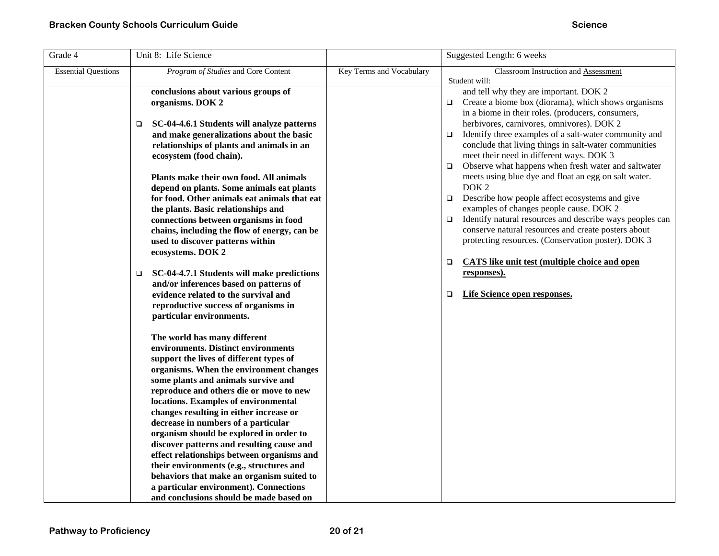| Grade 4                    | Unit 8: Life Science                                                                                                                                                                                                                                                                                                                                                                                                                                                                                        |                          | Suggested Length: 6 weeks                                                                                                                                                                                                                                                                                                                                                  |
|----------------------------|-------------------------------------------------------------------------------------------------------------------------------------------------------------------------------------------------------------------------------------------------------------------------------------------------------------------------------------------------------------------------------------------------------------------------------------------------------------------------------------------------------------|--------------------------|----------------------------------------------------------------------------------------------------------------------------------------------------------------------------------------------------------------------------------------------------------------------------------------------------------------------------------------------------------------------------|
| <b>Essential Questions</b> | Program of Studies and Core Content<br>conclusions about various groups of<br>organisms. DOK 2<br>SC-04-4.6.1 Students will analyze patterns<br>$\Box$                                                                                                                                                                                                                                                                                                                                                      | Key Terms and Vocabulary | Classroom Instruction and Assessment<br>Student will:<br>and tell why they are important. DOK 2<br>Create a biome box (diorama), which shows organisms<br>$\Box$<br>in a biome in their roles. (producers, consumers,<br>herbivores, carnivores, omnivores). DOK 2                                                                                                         |
|                            | and make generalizations about the basic<br>relationships of plants and animals in an<br>ecosystem (food chain).<br>Plants make their own food. All animals<br>depend on plants. Some animals eat plants<br>for food. Other animals eat animals that eat                                                                                                                                                                                                                                                    |                          | Identify three examples of a salt-water community and<br>$\Box$<br>conclude that living things in salt-water communities<br>meet their need in different ways. DOK 3<br>Observe what happens when fresh water and saltwater<br>$\Box$<br>meets using blue dye and float an egg on salt water.<br>DOK <sub>2</sub><br>$\Box$ Describe how people affect ecosystems and give |
|                            | the plants. Basic relationships and<br>connections between organisms in food<br>chains, including the flow of energy, can be<br>used to discover patterns within<br>ecosystems. DOK 2                                                                                                                                                                                                                                                                                                                       |                          | examples of changes people cause. DOK 2<br>Identify natural resources and describe ways peoples can<br>$\Box$<br>conserve natural resources and create posters about<br>protecting resources. (Conservation poster). DOK 3<br><b>CATS</b> like unit test (multiple choice and open<br>$\Box$                                                                               |
|                            | SC-04-4.7.1 Students will make predictions<br>$\Box$<br>and/or inferences based on patterns of<br>evidence related to the survival and<br>reproductive success of organisms in<br>particular environments.                                                                                                                                                                                                                                                                                                  |                          | responses).<br>Life Science open responses.<br>$\Box$                                                                                                                                                                                                                                                                                                                      |
|                            | The world has many different<br>environments. Distinct environments<br>support the lives of different types of<br>organisms. When the environment changes<br>some plants and animals survive and<br>reproduce and others die or move to new<br>locations. Examples of environmental<br>changes resulting in either increase or<br>decrease in numbers of a particular<br>organism should be explored in order to<br>discover patterns and resulting cause and<br>effect relationships between organisms and |                          |                                                                                                                                                                                                                                                                                                                                                                            |
|                            | their environments (e.g., structures and<br>behaviors that make an organism suited to<br>a particular environment). Connections<br>and conclusions should be made based on                                                                                                                                                                                                                                                                                                                                  |                          |                                                                                                                                                                                                                                                                                                                                                                            |